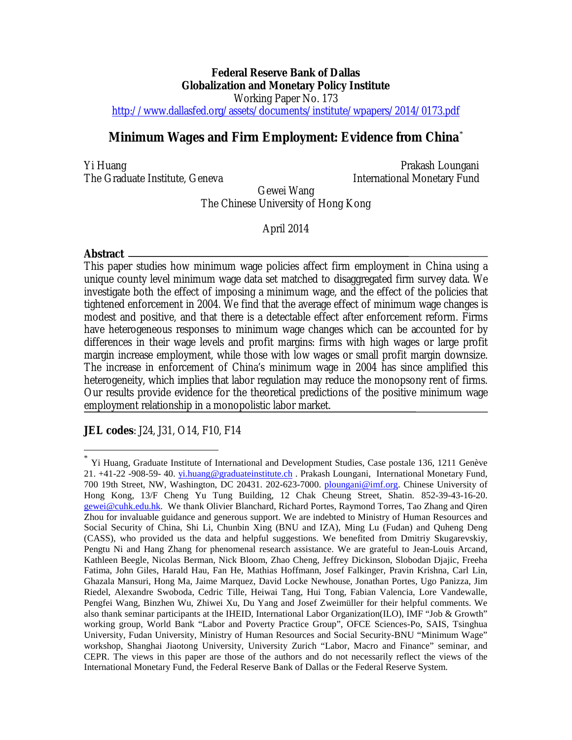# **Federal Reserve Bank of Dallas Globalization and Monetary Policy Institute**  Working Paper No. 173 <http://www.dallasfed.org/assets/documents/institute/wpapers/2014/0173.pdf>

# **Minimum Wages and Firm Employment: Evidence from China**[\\*](#page-0-0)

Yi Huang **Prakash Loungani** The Graduate Institute, Geneva **International Monetary Fund** 

Gewei Wang

The Chinese University of Hong Kong

April 2014

# **Abstract**

 $\overline{a}$ 

This paper studies how minimum wage policies affect firm employment in China using a unique county level minimum wage data set matched to disaggregated firm survey data. We investigate both the effect of imposing a minimum wage, and the effect of the policies that tightened enforcement in 2004. We find that the average effect of minimum wage changes is modest and positive, and that there is a detectable effect after enforcement reform. Firms have heterogeneous responses to minimum wage changes which can be accounted for by differences in their wage levels and profit margins: firms with high wages or large profit margin increase employment, while those with low wages or small profit margin downsize. The increase in enforcement of China's minimum wage in 2004 has since amplified this heterogeneity, which implies that labor regulation may reduce the monopsony rent of firms. Our results provide evidence for the theoretical predictions of the positive minimum wage employment relationship in a monopolistic labor market.

**JEL codes**: J24, J31, O14, F10, F14

<span id="page-0-0"></span>Yi Huang, Graduate Institute of International and Development Studies, Case postale 136, 1211 Genève 21. +41-22 -908-59- 40. [yi.huang@graduateinstitute.ch](mailto:yi.huang@graduateinstitute.ch) . Prakash Loungani, International Monetary Fund, 700 19th Street, NW, Washington, DC 20431. 202-623-7000. [ploungani@imf.org.](mailto:ploungani@imf.org) Chinese University of Hong Kong, 13/F Cheng Yu Tung Building, 12 Chak Cheung Street, Shatin. 852-39-43-16-20. [gewei@cuhk.edu.hk.](mailto:gewei@cuhk.edu.hk) We thank Olivier Blanchard, Richard Portes, Raymond Torres, Tao Zhang and Qiren Zhou for invaluable guidance and generous support. We are indebted to Ministry of Human Resources and Social Security of China, Shi Li, Chunbin Xing (BNU and IZA), Ming Lu (Fudan) and Quheng Deng (CASS), who provided us the data and helpful suggestions. We benefited from Dmitriy Skugarevskiy, Pengtu Ni and Hang Zhang for phenomenal research assistance. We are grateful to Jean-Louis Arcand, Kathleen Beegle, Nicolas Berman, Nick Bloom, Zhao Cheng, Jeffrey Dickinson, Slobodan Djajic, Freeha Fatima, John Giles, Harald Hau, Fan He, Mathias Hoffmann, Josef Falkinger, Pravin Krishna, Carl Lin, Ghazala Mansuri, Hong Ma, Jaime Marquez, David Locke Newhouse, Jonathan Portes, Ugo Panizza, Jim Riedel, Alexandre Swoboda, Cedric Tille, Heiwai Tang, Hui Tong, Fabian Valencia, Lore Vandewalle, Pengfei Wang, Binzhen Wu, Zhiwei Xu, Du Yang and Josef Zweimüller for their helpful comments. We also thank seminar participants at the IHEID, International Labor Organization(ILO), IMF "Job & Growth" working group, World Bank "Labor and Poverty Practice Group", OFCE Sciences-Po, SAIS, Tsinghua University, Fudan University, Ministry of Human Resources and Social Security-BNU "Minimum Wage" workshop, Shanghai Jiaotong University, University Zurich "Labor, Macro and Finance" seminar, and CEPR. The views in this paper are those of the authors and do not necessarily reflect the views of the International Monetary Fund, the Federal Reserve Bank of Dallas or the Federal Reserve System.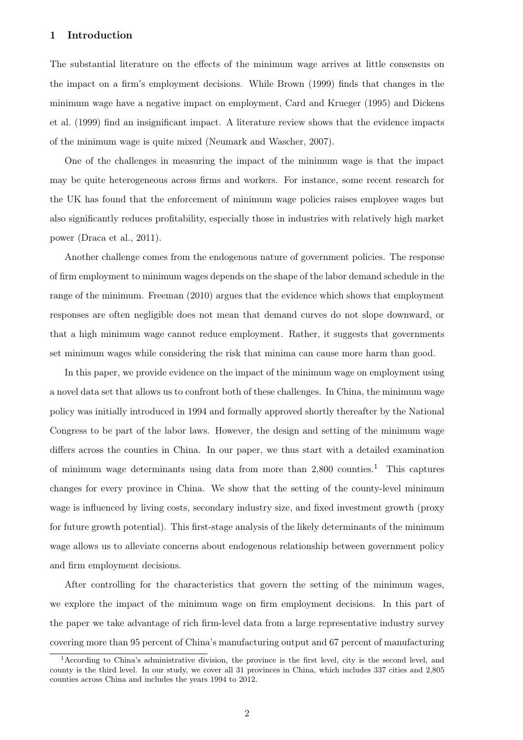# 1 Introduction

The substantial literature on the effects of the minimum wage arrives at little consensus on the impact on a firm's employment decisions. While [Brown](#page-55-0) [\(1999\)](#page-55-0) finds that changes in the minimum wage have a negative impact on employment, [Card and Krueger](#page-56-0) [\(1995\)](#page-56-0) and [Dickens](#page-56-1) [et al.](#page-56-1) [\(1999\)](#page-56-1) find an insignificant impact. A literature review shows that the evidence impacts of the minimum wage is quite mixed [\(Neumark and Wascher, 2007\)](#page-57-0).

One of the challenges in measuring the impact of the minimum wage is that the impact may be quite heterogeneous across firms and workers. For instance, some recent research for the UK has found that the enforcement of minimum wage policies raises employee wages but also significantly reduces profitability, especially those in industries with relatively high market power [\(Draca et al., 2011\)](#page-56-2).

Another challenge comes from the endogenous nature of government policies. The response of firm employment to minimum wages depends on the shape of the labor demand schedule in the range of the minimum. [Freeman](#page-56-3) [\(2010\)](#page-56-3) argues that the evidence which shows that employment responses are often negligible does not mean that demand curves do not slope downward, or that a high minimum wage cannot reduce employment. Rather, it suggests that governments set minimum wages while considering the risk that minima can cause more harm than good.

In this paper, we provide evidence on the impact of the minimum wage on employment using a novel data set that allows us to confront both of these challenges. In China, the minimum wage policy was initially introduced in 1994 and formally approved shortly thereafter by the National Congress to be part of the labor laws. However, the design and setting of the minimum wage differs across the counties in China. In our paper, we thus start with a detailed examination of minimum wage determinants using data from more than  $2,800$  counties.<sup>[1](#page-1-0)</sup> This captures changes for every province in China. We show that the setting of the county-level minimum wage is influenced by living costs, secondary industry size, and fixed investment growth (proxy for future growth potential). This first-stage analysis of the likely determinants of the minimum wage allows us to alleviate concerns about endogenous relationship between government policy and firm employment decisions.

After controlling for the characteristics that govern the setting of the minimum wages, we explore the impact of the minimum wage on firm employment decisions. In this part of the paper we take advantage of rich firm-level data from a large representative industry survey covering more than 95 percent of China's manufacturing output and 67 percent of manufacturing

<span id="page-1-0"></span><sup>1</sup>According to China's administrative division, the province is the first level, city is the second level, and county is the third level. In our study, we cover all 31 provinces in China, which includes 337 cities and 2,805 counties across China and includes the years 1994 to 2012.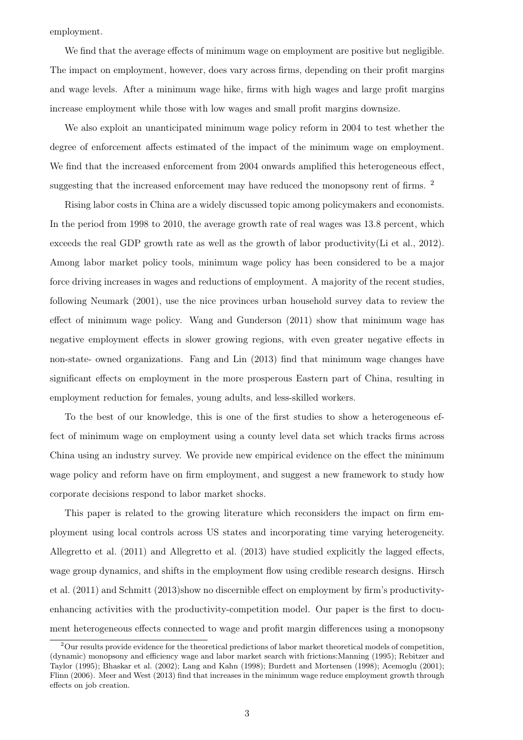employment.

We find that the average effects of minimum wage on employment are positive but negligible. The impact on employment, however, does vary across firms, depending on their profit margins and wage levels. After a minimum wage hike, firms with high wages and large profit margins increase employment while those with low wages and small profit margins downsize.

We also exploit an unanticipated minimum wage policy reform in 2004 to test whether the degree of enforcement affects estimated of the impact of the minimum wage on employment. We find that the increased enforcement from 2004 onwards amplified this heterogeneous effect, suggesting that the increased enforcement may have reduced the monopsony rent of firms. <sup>[2](#page-2-0)</sup>

Rising labor costs in China are a widely discussed topic among policymakers and economists. In the period from 1998 to 2010, the average growth rate of real wages was 13.8 percent, which exceeds the real GDP growth rate as well as the growth of labor productivity[\(Li et al., 2012\)](#page-57-1). Among labor market policy tools, minimum wage policy has been considered to be a major force driving increases in wages and reductions of employment. A majority of the recent studies, following [Neumark](#page-57-2) [\(2001\)](#page-57-2), use the nice provinces urban household survey data to review the effect of minimum wage policy. [Wang and Gunderson](#page-58-0) [\(2011\)](#page-58-0) show that minimum wage has negative employment effects in slower growing regions, with even greater negative effects in non-state- owned organizations. [Fang and Lin](#page-56-4) [\(2013\)](#page-56-4) find that minimum wage changes have significant effects on employment in the more prosperous Eastern part of China, resulting in employment reduction for females, young adults, and less-skilled workers.

To the best of our knowledge, this is one of the first studies to show a heterogeneous effect of minimum wage on employment using a county level data set which tracks firms across China using an industry survey. We provide new empirical evidence on the effect the minimum wage policy and reform have on firm employment, and suggest a new framework to study how corporate decisions respond to labor market shocks.

This paper is related to the growing literature which reconsiders the impact on firm employment using local controls across US states and incorporating time varying heterogeneity. [Allegretto et al.](#page-55-1) [\(2011\)](#page-55-1) and [Allegretto et al.](#page-55-2) [\(2013\)](#page-55-2) have studied explicitly the lagged effects, wage group dynamics, and shifts in the employment flow using credible research designs. [Hirsch](#page-57-3) [et al.](#page-57-3) [\(2011\)](#page-57-3) and [Schmitt](#page-57-4) [\(2013\)](#page-57-4)show no discernible effect on employment by firm's productivityenhancing activities with the productivity-competition model. Our paper is the first to document heterogeneous effects connected to wage and profit margin differences using a monopsony

<span id="page-2-0"></span> $2$ Our results provide evidence for the theoretical predictions of labor market theoretical models of competition, (dynamic) monopsony and efficiency wage and labor market search with frictions[:Manning](#page-57-5) [\(1995\)](#page-57-5); [Rebitzer and](#page-57-6) [Taylor](#page-57-6) [\(1995\)](#page-57-6); [Bhaskar et al.](#page-55-3) [\(2002\)](#page-55-3); [Lang and Kahn](#page-57-7) [\(1998\)](#page-57-7); [Burdett and Mortensen](#page-55-4) [\(1998\)](#page-55-4); [Acemoglu](#page-55-5) [\(2001\)](#page-55-5); [Flinn](#page-56-5) [\(2006\)](#page-56-5). [Meer and West](#page-57-8) [\(2013\)](#page-57-8) find that increases in the minimum wage reduce employment growth through effects on job creation.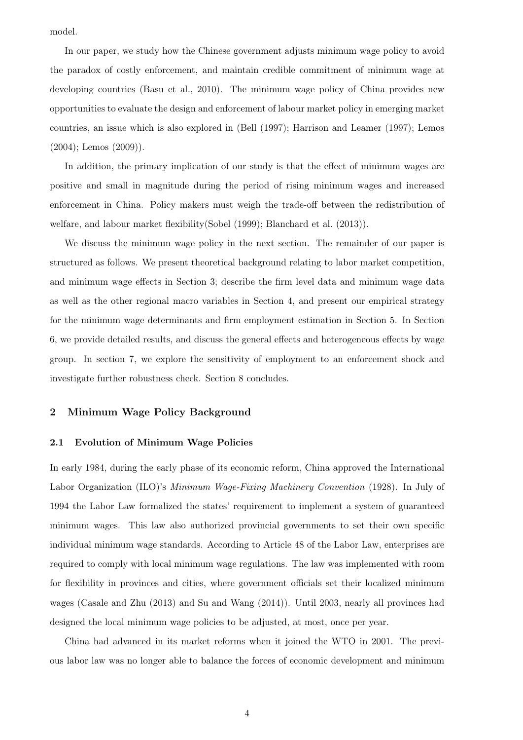model.

In our paper, we study how the Chinese government adjusts minimum wage policy to avoid the paradox of costly enforcement, and maintain credible commitment of minimum wage at developing countries [\(Basu et al., 2010\)](#page-55-6). The minimum wage policy of China provides new opportunities to evaluate the design and enforcement of labour market policy in emerging market countries, an issue which is also explored in [\(Bell](#page-55-7) [\(1997\)](#page-55-7); [Harrison and Leamer](#page-56-6) [\(1997\)](#page-56-6); [Lemos](#page-57-9) [\(2004\)](#page-57-9); [Lemos](#page-57-10) [\(2009\)](#page-57-10)).

In addition, the primary implication of our study is that the effect of minimum wages are positive and small in magnitude during the period of rising minimum wages and increased enforcement in China. Policy makers must weigh the trade-off between the redistribution of welfare, and labour market flexibility[\(Sobel](#page-57-11) [\(1999\)](#page-57-11); [Blanchard et al.](#page-55-8) [\(2013\)](#page-55-8)).

We discuss the minimum wage policy in the next section. The remainder of our paper is structured as follows. We present theoretical background relating to labor market competition, and minimum wage effects in Section 3; describe the firm level data and minimum wage data as well as the other regional macro variables in Section 4, and present our empirical strategy for the minimum wage determinants and firm employment estimation in Section 5. In Section 6, we provide detailed results, and discuss the general effects and heterogeneous effects by wage group. In section 7, we explore the sensitivity of employment to an enforcement shock and investigate further robustness check. Section 8 concludes.

# 2 Minimum Wage Policy Background

## 2.1 Evolution of Minimum Wage Policies

In early 1984, during the early phase of its economic reform, China approved the International Labor Organization (ILO)'s *Minimum Wage-Fixing Machinery Convention* (1928). In July of 1994 the Labor Law formalized the states' requirement to implement a system of guaranteed minimum wages. This law also authorized provincial governments to set their own specific individual minimum wage standards. According to Article 48 of the Labor Law, enterprises are required to comply with local minimum wage regulations. The law was implemented with room for flexibility in provinces and cities, where government officials set their localized minimum wages [\(Casale and Zhu](#page-56-7) [\(2013\)](#page-56-7) and [Su and Wang](#page-58-1) [\(2014\)](#page-58-1)). Until 2003, nearly all provinces had designed the local minimum wage policies to be adjusted, at most, once per year.

China had advanced in its market reforms when it joined the WTO in 2001. The previous labor law was no longer able to balance the forces of economic development and minimum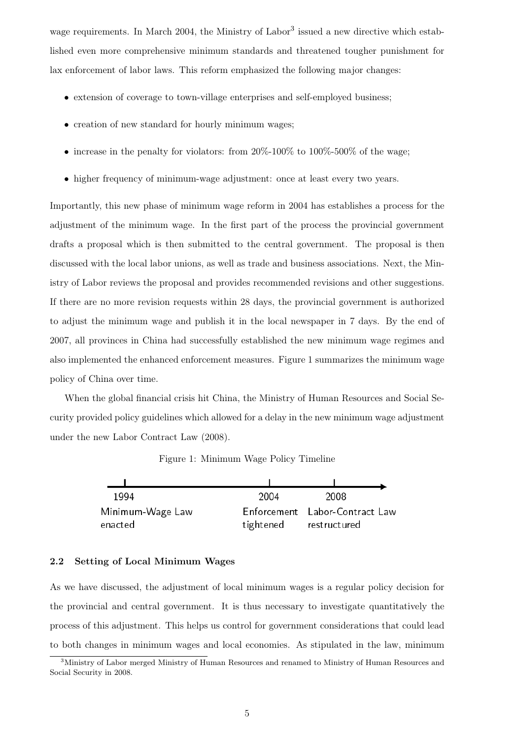wage requirements. In March 2004, the Ministry of Labor<sup>[3](#page-4-0)</sup> issued a new directive which established even more comprehensive minimum standards and threatened tougher punishment for lax enforcement of labor laws. This reform emphasized the following major changes:

- extension of coverage to town-village enterprises and self-employed business;
- creation of new standard for hourly minimum wages;
- increase in the penalty for violators: from  $20\%$ -100% to  $100\%$ -500% of the wage;
- higher frequency of minimum-wage adjustment: once at least every two years.

Importantly, this new phase of minimum wage reform in 2004 has establishes a process for the adjustment of the minimum wage. In the first part of the process the provincial government drafts a proposal which is then submitted to the central government. The proposal is then discussed with the local labor unions, as well as trade and business associations. Next, the Ministry of Labor reviews the proposal and provides recommended revisions and other suggestions. If there are no more revision requests within 28 days, the provincial government is authorized to adjust the minimum wage and publish it in the local newspaper in 7 days. By the end of 2007, all provinces in China had successfully established the new minimum wage regimes and also implemented the enhanced enforcement measures. Figure 1 summarizes the minimum wage policy of China over time.

When the global financial crisis hit China, the Ministry of Human Resources and Social Security provided policy guidelines which allowed for a delay in the new minimum wage adjustment under the new Labor Contract Law (2008).

| 1994             | 2004 | 2008                           |
|------------------|------|--------------------------------|
| Minimum-Wage Law |      | Enforcement Labor-Contract Law |

tightened

restructured

Figure 1: Minimum Wage Policy Timeline

| 2.2 Setting of Local Minimum Wages |
|------------------------------------|
|------------------------------------|

enacted

As we have discussed, the adjustment of local minimum wages is a regular policy decision for the provincial and central government. It is thus necessary to investigate quantitatively the process of this adjustment. This helps us control for government considerations that could lead to both changes in minimum wages and local economies. As stipulated in the law, minimum

<span id="page-4-0"></span><sup>3</sup>Ministry of Labor merged Ministry of Human Resources and renamed to Ministry of Human Resources and Social Security in 2008.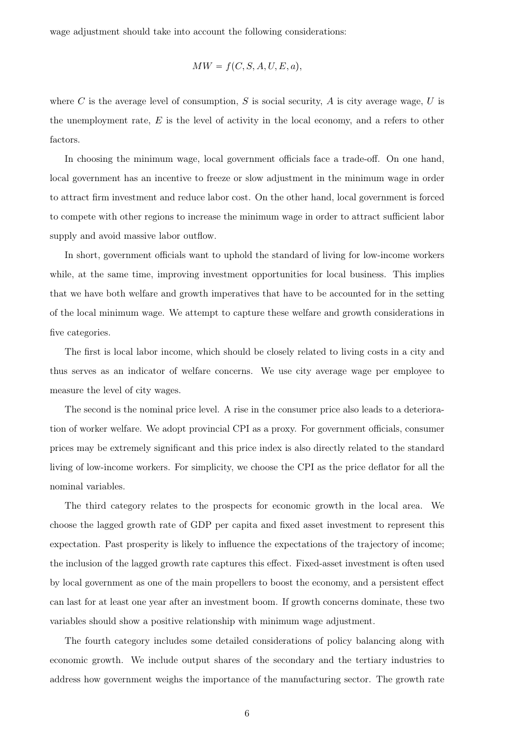wage adjustment should take into account the following considerations:

$$
MW = f(C, S, A, U, E, a),
$$

where C is the average level of consumption, S is social security, A is city average wage, U is the unemployment rate,  $E$  is the level of activity in the local economy, and a refers to other factors.

In choosing the minimum wage, local government officials face a trade-off. On one hand, local government has an incentive to freeze or slow adjustment in the minimum wage in order to attract firm investment and reduce labor cost. On the other hand, local government is forced to compete with other regions to increase the minimum wage in order to attract sufficient labor supply and avoid massive labor outflow.

In short, government officials want to uphold the standard of living for low-income workers while, at the same time, improving investment opportunities for local business. This implies that we have both welfare and growth imperatives that have to be accounted for in the setting of the local minimum wage. We attempt to capture these welfare and growth considerations in five categories.

The first is local labor income, which should be closely related to living costs in a city and thus serves as an indicator of welfare concerns. We use city average wage per employee to measure the level of city wages.

The second is the nominal price level. A rise in the consumer price also leads to a deterioration of worker welfare. We adopt provincial CPI as a proxy. For government officials, consumer prices may be extremely significant and this price index is also directly related to the standard living of low-income workers. For simplicity, we choose the CPI as the price deflator for all the nominal variables.

The third category relates to the prospects for economic growth in the local area. We choose the lagged growth rate of GDP per capita and fixed asset investment to represent this expectation. Past prosperity is likely to influence the expectations of the trajectory of income; the inclusion of the lagged growth rate captures this effect. Fixed-asset investment is often used by local government as one of the main propellers to boost the economy, and a persistent effect can last for at least one year after an investment boom. If growth concerns dominate, these two variables should show a positive relationship with minimum wage adjustment.

The fourth category includes some detailed considerations of policy balancing along with economic growth. We include output shares of the secondary and the tertiary industries to address how government weighs the importance of the manufacturing sector. The growth rate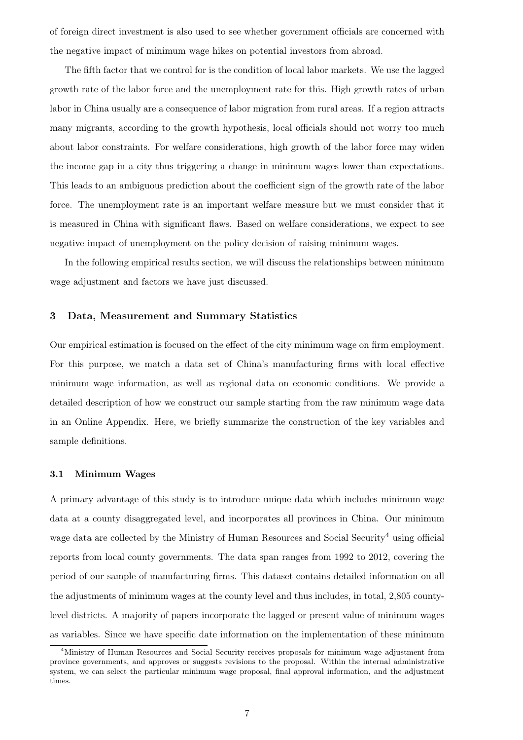of foreign direct investment is also used to see whether government officials are concerned with the negative impact of minimum wage hikes on potential investors from abroad.

The fifth factor that we control for is the condition of local labor markets. We use the lagged growth rate of the labor force and the unemployment rate for this. High growth rates of urban labor in China usually are a consequence of labor migration from rural areas. If a region attracts many migrants, according to the growth hypothesis, local officials should not worry too much about labor constraints. For welfare considerations, high growth of the labor force may widen the income gap in a city thus triggering a change in minimum wages lower than expectations. This leads to an ambiguous prediction about the coefficient sign of the growth rate of the labor force. The unemployment rate is an important welfare measure but we must consider that it is measured in China with significant flaws. Based on welfare considerations, we expect to see negative impact of unemployment on the policy decision of raising minimum wages.

In the following empirical results section, we will discuss the relationships between minimum wage adjustment and factors we have just discussed.

# 3 Data, Measurement and Summary Statistics

Our empirical estimation is focused on the effect of the city minimum wage on firm employment. For this purpose, we match a data set of China's manufacturing firms with local effective minimum wage information, as well as regional data on economic conditions. We provide a detailed description of how we construct our sample starting from the raw minimum wage data in an Online Appendix. Here, we briefly summarize the construction of the key variables and sample definitions.

#### 3.1 Minimum Wages

A primary advantage of this study is to introduce unique data which includes minimum wage data at a county disaggregated level, and incorporates all provinces in China. Our minimum wage data are collected by the Ministry of Human Resources and Social Security<sup>[4](#page-6-0)</sup> using official reports from local county governments. The data span ranges from 1992 to 2012, covering the period of our sample of manufacturing firms. This dataset contains detailed information on all the adjustments of minimum wages at the county level and thus includes, in total, 2,805 countylevel districts. A majority of papers incorporate the lagged or present value of minimum wages as variables. Since we have specific date information on the implementation of these minimum

<span id="page-6-0"></span><sup>&</sup>lt;sup>4</sup>Ministry of Human Resources and Social Security receives proposals for minimum wage adjustment from province governments, and approves or suggests revisions to the proposal. Within the internal administrative system, we can select the particular minimum wage proposal, final approval information, and the adjustment times.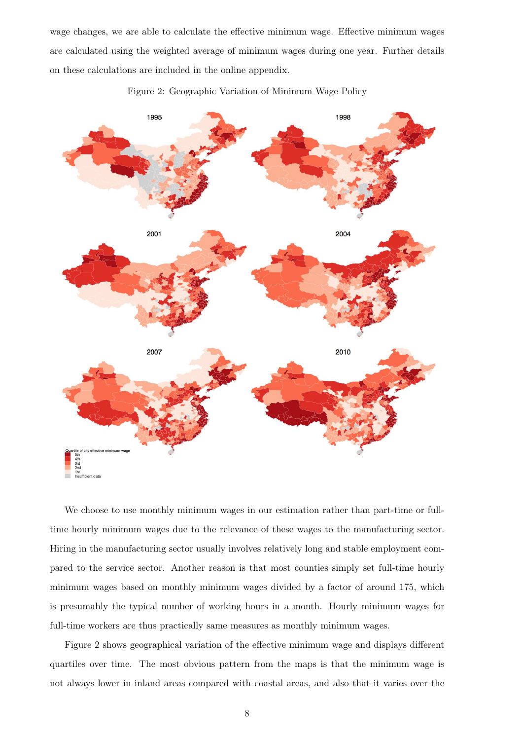wage changes, we are able to calculate the effective minimum wage. Effective minimum wages are calculated using the weighted average of minimum wages during one year. Further details on these calculations are included in the online appendix.

<span id="page-7-0"></span>

Figure 2: Geographic Variation of Minimum Wage Policy

We choose to use monthly minimum wages in our estimation rather than part-time or fulltime hourly minimum wages due to the relevance of these wages to the manufacturing sector. Hiring in the manufacturing sector usually involves relatively long and stable employment compared to the service sector. Another reason is that most counties simply set full-time hourly minimum wages based on monthly minimum wages divided by a factor of around 175, which is presumably the typical number of working hours in a month. Hourly minimum wages for full-time workers are thus practically same measures as monthly minimum wages.

Figure [2](#page-7-0) shows geographical variation of the effective minimum wage and displays different quartiles over time. The most obvious pattern from the maps is that the minimum wage is not always lower in inland areas compared with coastal areas, and also that it varies over the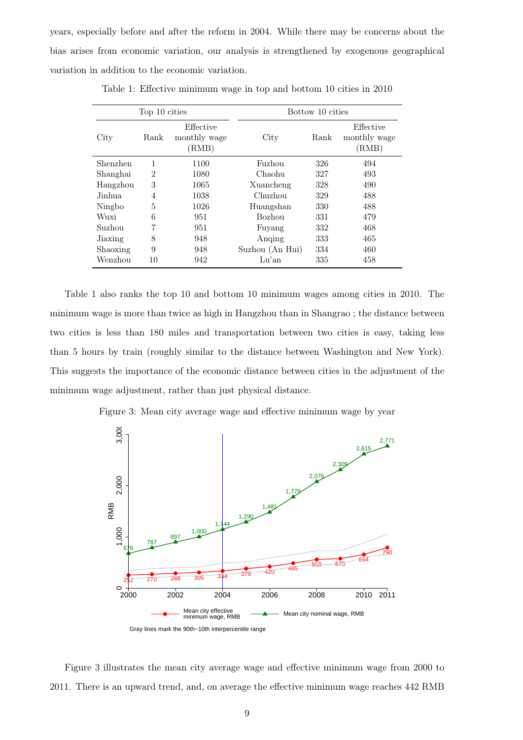<span id="page-8-0"></span>years, especially before and after the reform in 2004. While there may be concerns about the bias arises from economic variation, our analysis is strengthened by exogenous geographical variation in addition to the economic variation.

| Top 10 cities |                |                                    | Bottow 10 cities |      |                                    |  |
|---------------|----------------|------------------------------------|------------------|------|------------------------------------|--|
| City          | Rank           | Effective<br>monthly wage<br>(RMB) | City             | Rank | Effective<br>monthly wage<br>(RMB) |  |
| Shenzhen      | 1              | 1100                               | Fuzhou           | 326  | 494                                |  |
| Shanghai      | $\overline{2}$ | 1080                               | Chaohu           | 327  | 493                                |  |
| Hangzhou      | 3              | 1065                               | Xuancheng        | 328  | 490                                |  |
| Jinhua        | 4              | 1038                               | Chuzhou          | 329  | 488                                |  |
| Ningbo        | 5              | 1026                               | Huangshan        | 330  | 488                                |  |
| Wuxi          | 6              | 951                                | Bozhou           | 331  | 479                                |  |
| Suzhou        | 7              | 951                                | Fuyang           | 332  | 468                                |  |
| Jiaxing       | 8              | 948                                | Anging           | 333  | 465                                |  |
| Shaoxing      | 9              | 948                                | Suzhou (An Hui)  | 334  | 460                                |  |
| Wenzhou       | 10             | 942                                | Lu'an            | 335  | 458                                |  |

Table 1: Effective minimum wage in top and bottom 10 cities in 2010

Table [1](#page-8-0) also ranks the top 10 and bottom 10 minimum wages among cities in 2010. The minimum wage is more than twice as high in Hangzhou than in Shangrao ; the distance between two cities is less than 180 miles and transportation between two cities is easy, taking less than 5 hours by train (roughly similar to the distance between Washington and New York). This suggests the importance of the economic distance between cities in the adjustment of the minimum wage adjustment, rather than just physical distance.

<span id="page-8-1"></span>Figure 3: Mean city average wage and effective minimum wage by year



Figure [3](#page-8-1) illustrates the mean city average wage and effective minimum wage from 2000 to 2011. There is an upward trend, and, on average the effective minimum wage reaches 442 RMB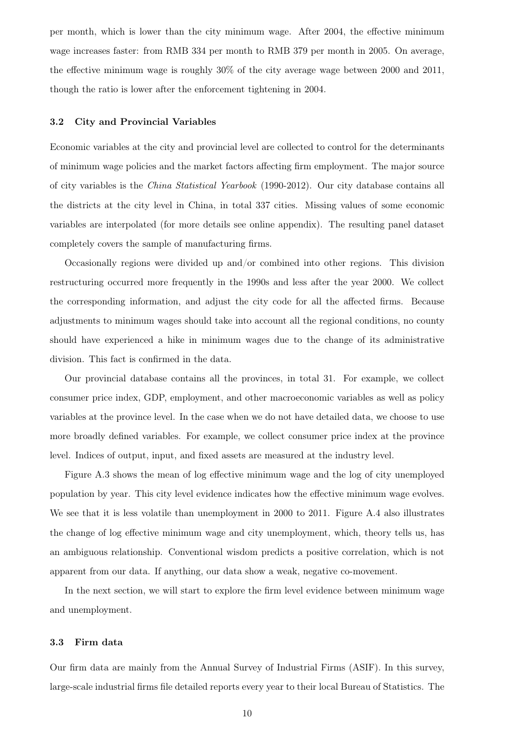per month, which is lower than the city minimum wage. After 2004, the effective minimum wage increases faster: from RMB 334 per month to RMB 379 per month in 2005. On average, the effective minimum wage is roughly 30% of the city average wage between 2000 and 2011, though the ratio is lower after the enforcement tightening in 2004.

#### 3.2 City and Provincial Variables

Economic variables at the city and provincial level are collected to control for the determinants of minimum wage policies and the market factors affecting firm employment. The major source of city variables is the China Statistical Yearbook (1990-2012). Our city database contains all the districts at the city level in China, in total 337 cities. Missing values of some economic variables are interpolated (for more details see online appendix). The resulting panel dataset completely covers the sample of manufacturing firms.

Occasionally regions were divided up and/or combined into other regions. This division restructuring occurred more frequently in the 1990s and less after the year 2000. We collect the corresponding information, and adjust the city code for all the affected firms. Because adjustments to minimum wages should take into account all the regional conditions, no county should have experienced a hike in minimum wages due to the change of its administrative division. This fact is confirmed in the data.

Our provincial database contains all the provinces, in total 31. For example, we collect consumer price index, GDP, employment, and other macroeconomic variables as well as policy variables at the province level. In the case when we do not have detailed data, we choose to use more broadly defined variables. For example, we collect consumer price index at the province level. Indices of output, input, and fixed assets are measured at the industry level.

Figure [A.3](#page-33-0) shows the mean of log effective minimum wage and the log of city unemployed population by year. This city level evidence indicates how the effective minimum wage evolves. We see that it is less volatile than unemployment in 2000 to 2011. Figure [A.4](#page-33-1) also illustrates the change of log effective minimum wage and city unemployment, which, theory tells us, has an ambiguous relationship. Conventional wisdom predicts a positive correlation, which is not apparent from our data. If anything, our data show a weak, negative co-movement.

In the next section, we will start to explore the firm level evidence between minimum wage and unemployment.

#### 3.3 Firm data

Our firm data are mainly from the Annual Survey of Industrial Firms (ASIF). In this survey, large-scale industrial firms file detailed reports every year to their local Bureau of Statistics. The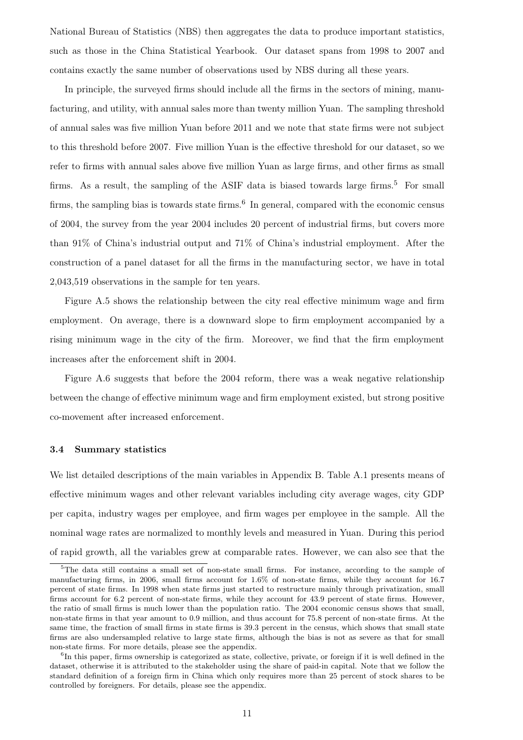National Bureau of Statistics (NBS) then aggregates the data to produce important statistics, such as those in the China Statistical Yearbook. Our dataset spans from 1998 to 2007 and contains exactly the same number of observations used by NBS during all these years.

In principle, the surveyed firms should include all the firms in the sectors of mining, manufacturing, and utility, with annual sales more than twenty million Yuan. The sampling threshold of annual sales was five million Yuan before 2011 and we note that state firms were not subject to this threshold before 2007. Five million Yuan is the effective threshold for our dataset, so we refer to firms with annual sales above five million Yuan as large firms, and other firms as small firms. As a result, the sampling of the ASIF data is biased towards large firms.<sup>[5](#page-10-0)</sup> For small firms, the sampling bias is towards state firms.<sup>[6](#page-10-1)</sup> In general, compared with the economic census of 2004, the survey from the year 2004 includes 20 percent of industrial firms, but covers more than 91% of China's industrial output and 71% of China's industrial employment. After the construction of a panel dataset for all the firms in the manufacturing sector, we have in total 2,043,519 observations in the sample for ten years.

Figure [A.5](#page-34-0) shows the relationship between the city real effective minimum wage and firm employment. On average, there is a downward slope to firm employment accompanied by a rising minimum wage in the city of the firm. Moreover, we find that the firm employment increases after the enforcement shift in 2004.

Figure [A.6](#page-34-1) suggests that before the 2004 reform, there was a weak negative relationship between the change of effective minimum wage and firm employment existed, but strong positive co-movement after increased enforcement.

## 3.4 Summary statistics

We list detailed descriptions of the main variables in Appendix [B.](#page-53-0) Table [A.1](#page-37-0) presents means of effective minimum wages and other relevant variables including city average wages, city GDP per capita, industry wages per employee, and firm wages per employee in the sample. All the nominal wage rates are normalized to monthly levels and measured in Yuan. During this period of rapid growth, all the variables grew at comparable rates. However, we can also see that the

<span id="page-10-0"></span><sup>&</sup>lt;sup>5</sup>The data still contains a small set of non-state small firms. For instance, according to the sample of manufacturing firms, in 2006, small firms account for 1.6% of non-state firms, while they account for 16.7 percent of state firms. In 1998 when state firms just started to restructure mainly through privatization, small firms account for 6.2 percent of non-state firms, while they account for 43.9 percent of state firms. However, the ratio of small firms is much lower than the population ratio. The 2004 economic census shows that small, non-state firms in that year amount to 0.9 million, and thus account for 75.8 percent of non-state firms. At the same time, the fraction of small firms in state firms is 39.3 percent in the census, which shows that small state firms are also undersampled relative to large state firms, although the bias is not as severe as that for small non-state firms. For more details, please see the appendix.

<span id="page-10-1"></span><sup>&</sup>lt;sup>6</sup>In this paper, firms ownership is categorized as state, collective, private, or foreign if it is well defined in the dataset, otherwise it is attributed to the stakeholder using the share of paid-in capital. Note that we follow the standard definition of a foreign firm in China which only requires more than 25 percent of stock shares to be controlled by foreigners. For details, please see the appendix.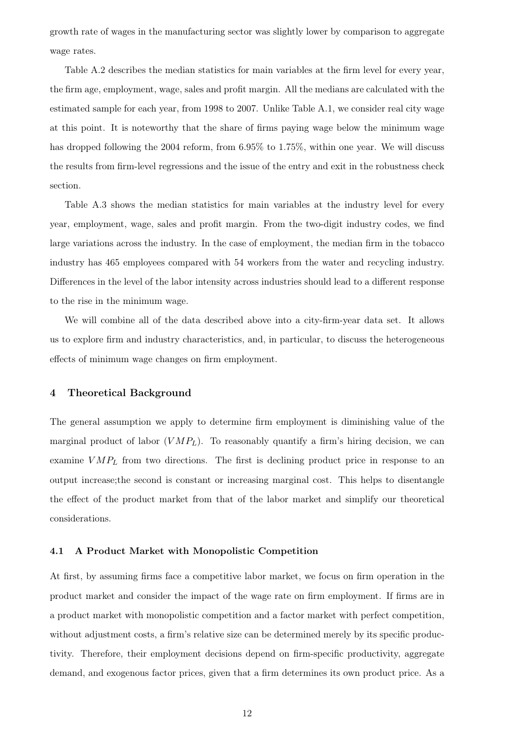growth rate of wages in the manufacturing sector was slightly lower by comparison to aggregate wage rates.

Table [A.2](#page-38-0) describes the median statistics for main variables at the firm level for every year, the firm age, employment, wage, sales and profit margin. All the medians are calculated with the estimated sample for each year, from 1998 to 2007. Unlike Table [A.1,](#page-37-0) we consider real city wage at this point. It is noteworthy that the share of firms paying wage below the minimum wage has dropped following the 2004 reform, from 6.95% to 1.75%, within one year. We will discuss the results from firm-level regressions and the issue of the entry and exit in the robustness check section.

Table [A.3](#page-39-0) shows the median statistics for main variables at the industry level for every year, employment, wage, sales and profit margin. From the two-digit industry codes, we find large variations across the industry. In the case of employment, the median firm in the tobacco industry has 465 employees compared with 54 workers from the water and recycling industry. Differences in the level of the labor intensity across industries should lead to a different response to the rise in the minimum wage.

We will combine all of the data described above into a city-firm-year data set. It allows us to explore firm and industry characteristics, and, in particular, to discuss the heterogeneous effects of minimum wage changes on firm employment.

# 4 Theoretical Background

The general assumption we apply to determine firm employment is diminishing value of the marginal product of labor  $(VMP_L)$ . To reasonably quantify a firm's hiring decision, we can examine  $VMP_L$  from two directions. The first is declining product price in response to an output increase;the second is constant or increasing marginal cost. This helps to disentangle the effect of the product market from that of the labor market and simplify our theoretical considerations.

#### 4.1 A Product Market with Monopolistic Competition

At first, by assuming firms face a competitive labor market, we focus on firm operation in the product market and consider the impact of the wage rate on firm employment. If firms are in a product market with monopolistic competition and a factor market with perfect competition, without adjustment costs, a firm's relative size can be determined merely by its specific productivity. Therefore, their employment decisions depend on firm-specific productivity, aggregate demand, and exogenous factor prices, given that a firm determines its own product price. As a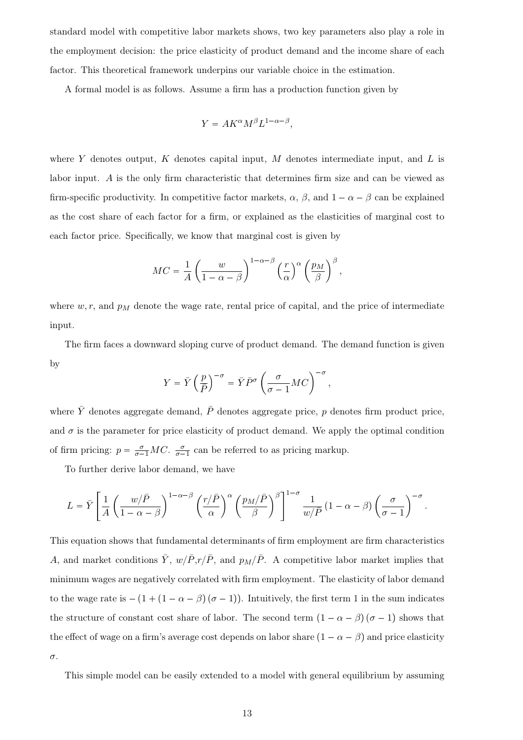standard model with competitive labor markets shows, two key parameters also play a role in the employment decision: the price elasticity of product demand and the income share of each factor. This theoretical framework underpins our variable choice in the estimation.

A formal model is as follows. Assume a firm has a production function given by

$$
Y = AK^{\alpha}M^{\beta}L^{1-\alpha-\beta},
$$

where Y denotes output, K denotes capital input, M denotes intermediate input, and L is labor input. A is the only firm characteristic that determines firm size and can be viewed as firm-specific productivity. In competitive factor markets,  $\alpha$ ,  $\beta$ , and  $1 - \alpha - \beta$  can be explained as the cost share of each factor for a firm, or explained as the elasticities of marginal cost to each factor price. Specifically, we know that marginal cost is given by

$$
MC = \frac{1}{A} \left( \frac{w}{1 - \alpha - \beta} \right)^{1 - \alpha - \beta} \left( \frac{r}{\alpha} \right)^{\alpha} \left( \frac{p_M}{\beta} \right)^{\beta},
$$

where  $w, r$ , and  $p<sub>M</sub>$  denote the wage rate, rental price of capital, and the price of intermediate input.

The firm faces a downward sloping curve of product demand. The demand function is given by

$$
Y = \bar{Y} \left(\frac{p}{\bar{P}}\right)^{-\sigma} = \bar{Y}\bar{P}^{\sigma} \left(\frac{\sigma}{\sigma - 1}MC\right)^{-\sigma},
$$

where  $\bar{Y}$  denotes aggregate demand,  $\bar{P}$  denotes aggregate price, p denotes firm product price, and  $\sigma$  is the parameter for price elasticity of product demand. We apply the optimal condition of firm pricing:  $p = \frac{\sigma}{\sigma - 1}MC$ .  $\frac{\sigma}{\sigma - 1}$  can be referred to as pricing markup.

To further derive labor demand, we have

$$
L = \bar{Y} \left[ \frac{1}{A} \left( \frac{w/\bar{P}}{1 - \alpha - \beta} \right)^{1 - \alpha - \beta} \left( \frac{r/\bar{P}}{\alpha} \right)^{\alpha} \left( \frac{p_M/\bar{P}}{\beta} \right)^{\beta} \right]^{1 - \sigma} \frac{1}{w/\bar{P}} \left( 1 - \alpha - \beta \right) \left( \frac{\sigma}{\sigma - 1} \right)^{-\sigma}.
$$

This equation shows that fundamental determinants of firm employment are firm characteristics A, and market conditions  $\bar{Y}$ ,  $w/\bar{P}$ ,  $r/\bar{P}$ , and  $p_M/\bar{P}$ . A competitive labor market implies that minimum wages are negatively correlated with firm employment. The elasticity of labor demand to the wage rate is  $-(1 + (1 - \alpha - \beta)(\sigma - 1))$ . Intuitively, the first term 1 in the sum indicates the structure of constant cost share of labor. The second term  $(1 - \alpha - \beta)(\sigma - 1)$  shows that the effect of wage on a firm's average cost depends on labor share  $(1 - \alpha - \beta)$  and price elasticity σ.

This simple model can be easily extended to a model with general equilibrium by assuming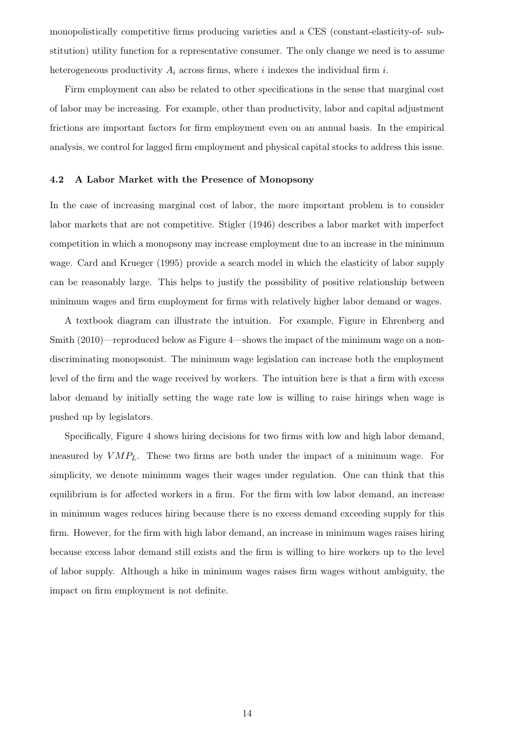monopolistically competitive firms producing varieties and a CES (constant-elasticity-of- substitution) utility function for a representative consumer. The only change we need is to assume heterogeneous productivity  $A_i$  across firms, where i indexes the individual firm i.

Firm employment can also be related to other specifications in the sense that marginal cost of labor may be increasing. For example, other than productivity, labor and capital adjustment frictions are important factors for firm employment even on an annual basis. In the empirical analysis, we control for lagged firm employment and physical capital stocks to address this issue.

#### 4.2 A Labor Market with the Presence of Monopsony

In the case of increasing marginal cost of labor, the more important problem is to consider labor markets that are not competitive. [Stigler](#page-58-2) [\(1946\)](#page-58-2) describes a labor market with imperfect competition in which a monopsony may increase employment due to an increase in the minimum wage. [Card and Krueger](#page-56-0) [\(1995\)](#page-56-0) provide a search model in which the elasticity of labor supply can be reasonably large. This helps to justify the possibility of positive relationship between minimum wages and firm employment for firms with relatively higher labor demand or wages.

A textbook diagram can illustrate the intuition. For example, Figure in [Ehrenberg and](#page-56-8) [Smith](#page-56-8) [\(2010\)](#page-56-8)—reproduced below as Figure [4—](#page-14-0)shows the impact of the minimum wage on a nondiscriminating monopsonist. The minimum wage legislation can increase both the employment level of the firm and the wage received by workers. The intuition here is that a firm with excess labor demand by initially setting the wage rate low is willing to raise hirings when wage is pushed up by legislators.

Specifically, Figure [4](#page-14-0) shows hiring decisions for two firms with low and high labor demand, measured by  $VMP_L$ . These two firms are both under the impact of a minimum wage. For simplicity, we denote minimum wages their wages under regulation. One can think that this equilibrium is for affected workers in a firm. For the firm with low labor demand, an increase in minimum wages reduces hiring because there is no excess demand exceeding supply for this firm. However, for the firm with high labor demand, an increase in minimum wages raises hiring because excess labor demand still exists and the firm is willing to hire workers up to the level of labor supply. Although a hike in minimum wages raises firm wages without ambiguity, the impact on firm employment is not definite.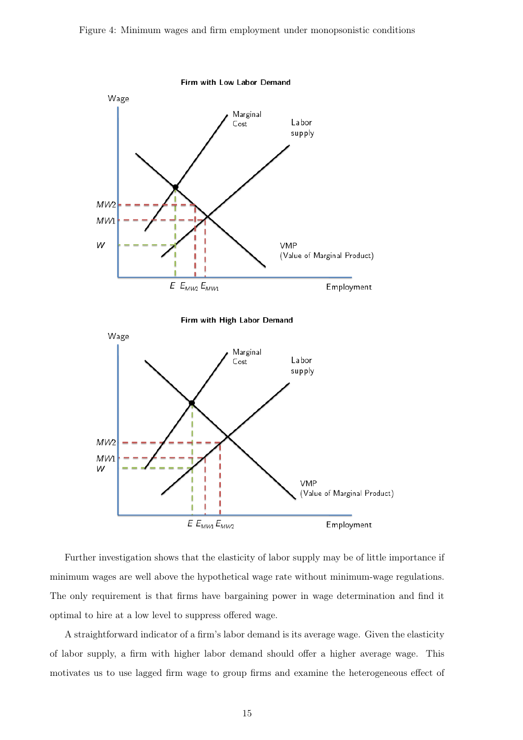<span id="page-14-0"></span>Figure 4: Minimum wages and firm employment under monopsonistic conditions



Further investigation shows that the elasticity of labor supply may be of little importance if minimum wages are well above the hypothetical wage rate without minimum-wage regulations. The only requirement is that firms have bargaining power in wage determination and find it optimal to hire at a low level to suppress offered wage.

A straightforward indicator of a firm's labor demand is its average wage. Given the elasticity of labor supply, a firm with higher labor demand should offer a higher average wage. This motivates us to use lagged firm wage to group firms and examine the heterogeneous effect of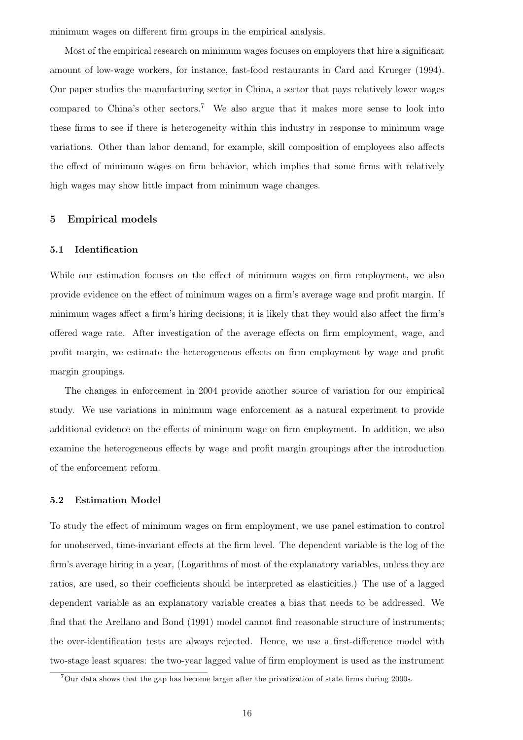minimum wages on different firm groups in the empirical analysis.

Most of the empirical research on minimum wages focuses on employers that hire a significant amount of low-wage workers, for instance, fast-food restaurants in [Card and Krueger](#page-56-9) [\(1994\)](#page-56-9). Our paper studies the manufacturing sector in China, a sector that pays relatively lower wages compared to China's other sectors.<sup>[7](#page-15-0)</sup> We also argue that it makes more sense to look into these firms to see if there is heterogeneity within this industry in response to minimum wage variations. Other than labor demand, for example, skill composition of employees also affects the effect of minimum wages on firm behavior, which implies that some firms with relatively high wages may show little impact from minimum wage changes.

# 5 Empirical models

# 5.1 Identification

While our estimation focuses on the effect of minimum wages on firm employment, we also provide evidence on the effect of minimum wages on a firm's average wage and profit margin. If minimum wages affect a firm's hiring decisions; it is likely that they would also affect the firm's offered wage rate. After investigation of the average effects on firm employment, wage, and profit margin, we estimate the heterogeneous effects on firm employment by wage and profit margin groupings.

The changes in enforcement in 2004 provide another source of variation for our empirical study. We use variations in minimum wage enforcement as a natural experiment to provide additional evidence on the effects of minimum wage on firm employment. In addition, we also examine the heterogeneous effects by wage and profit margin groupings after the introduction of the enforcement reform.

#### 5.2 Estimation Model

To study the effect of minimum wages on firm employment, we use panel estimation to control for unobserved, time-invariant effects at the firm level. The dependent variable is the log of the firm's average hiring in a year, (Logarithms of most of the explanatory variables, unless they are ratios, are used, so their coefficients should be interpreted as elasticities.) The use of a lagged dependent variable as an explanatory variable creates a bias that needs to be addressed. We find that the [Arellano and Bond](#page-55-9) [\(1991\)](#page-55-9) model cannot find reasonable structure of instruments; the over-identification tests are always rejected. Hence, we use a first-difference model with two-stage least squares: the two-year lagged value of firm employment is used as the instrument

<span id="page-15-0"></span><sup>7</sup>Our data shows that the gap has become larger after the privatization of state firms during 2000s.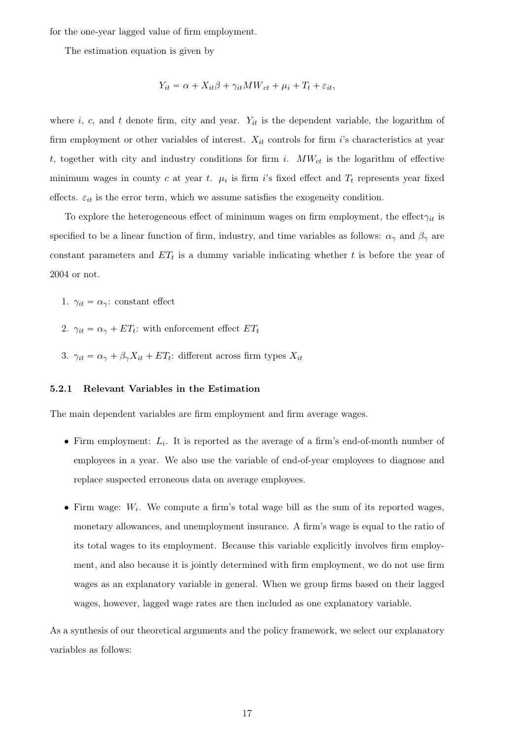for the one-year lagged value of firm employment.

The estimation equation is given by

$$
Y_{it} = \alpha + X_{it}\beta + \gamma_{it}MW_{ct} + \mu_i + T_t + \varepsilon_{it},
$$

where i, c, and t denote firm, city and year.  $Y_{it}$  is the dependent variable, the logarithm of firm employment or other variables of interest.  $X_{it}$  controls for firm i's characteristics at year t, together with city and industry conditions for firm i.  $MW_{ct}$  is the logarithm of effective minimum wages in county c at year t.  $\mu_i$  is firm i's fixed effect and  $T_t$  represents year fixed effects.  $\varepsilon_{it}$  is the error term, which we assume satisfies the exogeneity condition.

To explore the heterogeneous effect of minimum wages on firm employment, the effect $\gamma_{it}$  is specified to be a linear function of firm, industry, and time variables as follows:  $\alpha_{\gamma}$  and  $\beta_{\gamma}$  are constant parameters and  $ET_t$  is a dummy variable indicating whether t is before the year of 2004 or not.

- 1.  $\gamma_{it} = \alpha_{\gamma}$ : constant effect
- 2.  $\gamma_{it} = \alpha_{\gamma} + ET_t$ : with enforcement effect  $ET_t$
- 3.  $\gamma_{it} = \alpha_{\gamma} + \beta_{\gamma} X_{it} + ET_t$ : different across firm types  $X_{it}$

## 5.2.1 Relevant Variables in the Estimation

The main dependent variables are firm employment and firm average wages.

- Firm employment:  $L_i$ . It is reported as the average of a firm's end-of-month number of employees in a year. We also use the variable of end-of-year employees to diagnose and replace suspected erroneous data on average employees.
- Firm wage:  $W_i$ . We compute a firm's total wage bill as the sum of its reported wages, monetary allowances, and unemployment insurance. A firm's wage is equal to the ratio of its total wages to its employment. Because this variable explicitly involves firm employment, and also because it is jointly determined with firm employment, we do not use firm wages as an explanatory variable in general. When we group firms based on their lagged wages, however, lagged wage rates are then included as one explanatory variable.

As a synthesis of our theoretical arguments and the policy framework, we select our explanatory variables as follows: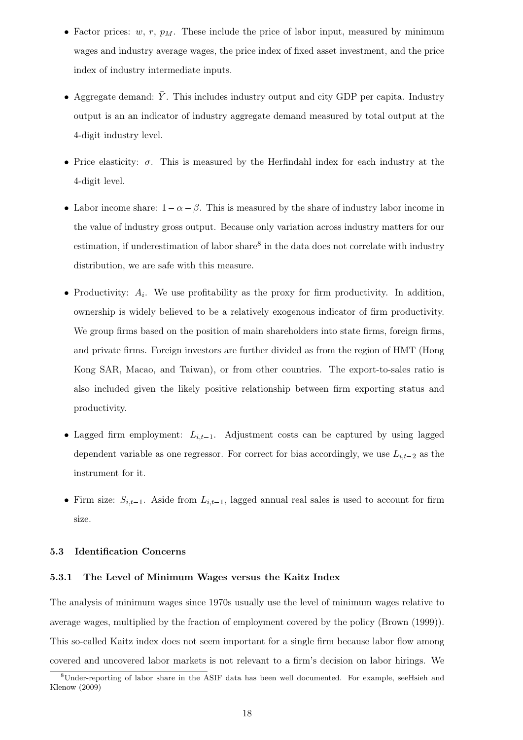- Factor prices:  $w, r, p_M$ . These include the price of labor input, measured by minimum wages and industry average wages, the price index of fixed asset investment, and the price index of industry intermediate inputs.
- Aggregate demand:  $\bar{Y}$ . This includes industry output and city GDP per capita. Industry output is an an indicator of industry aggregate demand measured by total output at the 4-digit industry level.
- Price elasticity:  $\sigma$ . This is measured by the Herfindahl index for each industry at the 4-digit level.
- Labor income share:  $1-\alpha-\beta$ . This is measured by the share of industry labor income in the value of industry gross output. Because only variation across industry matters for our estimation, if underestimation of labor share<sup>[8](#page-17-0)</sup> in the data does not correlate with industry distribution, we are safe with this measure.
- Productivity:  $A_i$ . We use profitability as the proxy for firm productivity. In addition, ownership is widely believed to be a relatively exogenous indicator of firm productivity. We group firms based on the position of main shareholders into state firms, foreign firms, and private firms. Foreign investors are further divided as from the region of HMT (Hong Kong SAR, Macao, and Taiwan), or from other countries. The export-to-sales ratio is also included given the likely positive relationship between firm exporting status and productivity.
- Lagged firm employment:  $L_{i,t-1}$ . Adjustment costs can be captured by using lagged dependent variable as one regressor. For correct for bias accordingly, we use  $L_{i,t-2}$  as the instrument for it.
- Firm size:  $S_{i,t-1}$ . Aside from  $L_{i,t-1}$ , lagged annual real sales is used to account for firm size.

# 5.3 Identification Concerns

# 5.3.1 The Level of Minimum Wages versus the Kaitz Index

The analysis of minimum wages since 1970s usually use the level of minimum wages relative to average wages, multiplied by the fraction of employment covered by the policy [\(Brown](#page-55-0) [\(1999\)](#page-55-0)). This so-called Kaitz index does not seem important for a single firm because labor flow among covered and uncovered labor markets is not relevant to a firm's decision on labor hirings. We

<span id="page-17-0"></span><sup>8</sup>Under-reporting of labor share in the ASIF data has been well documented. For example, se[eHsieh and](#page-57-12) [Klenow](#page-57-12) [\(2009\)](#page-57-12)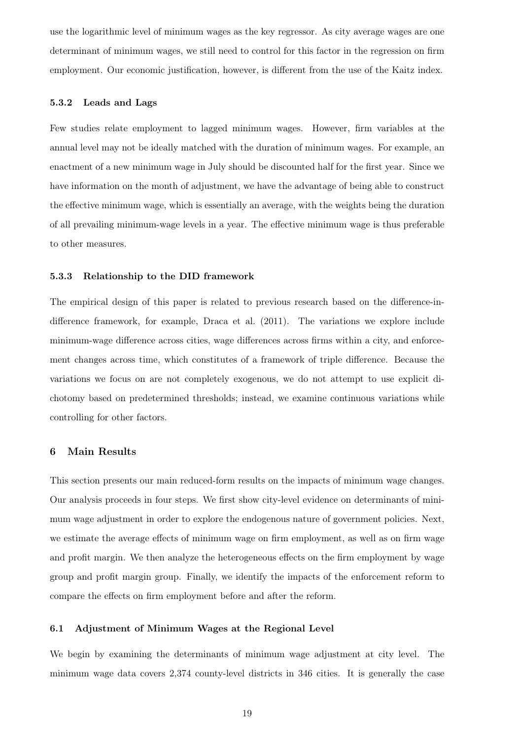use the logarithmic level of minimum wages as the key regressor. As city average wages are one determinant of minimum wages, we still need to control for this factor in the regression on firm employment. Our economic justification, however, is different from the use of the Kaitz index.

#### 5.3.2 Leads and Lags

Few studies relate employment to lagged minimum wages. However, firm variables at the annual level may not be ideally matched with the duration of minimum wages. For example, an enactment of a new minimum wage in July should be discounted half for the first year. Since we have information on the month of adjustment, we have the advantage of being able to construct the effective minimum wage, which is essentially an average, with the weights being the duration of all prevailing minimum-wage levels in a year. The effective minimum wage is thus preferable to other measures.

## 5.3.3 Relationship to the DID framework

The empirical design of this paper is related to previous research based on the difference-indifference framework, for example, [Draca et al.](#page-56-2) [\(2011\)](#page-56-2). The variations we explore include minimum-wage difference across cities, wage differences across firms within a city, and enforcement changes across time, which constitutes of a framework of triple difference. Because the variations we focus on are not completely exogenous, we do not attempt to use explicit dichotomy based on predetermined thresholds; instead, we examine continuous variations while controlling for other factors.

# 6 Main Results

This section presents our main reduced-form results on the impacts of minimum wage changes. Our analysis proceeds in four steps. We first show city-level evidence on determinants of minimum wage adjustment in order to explore the endogenous nature of government policies. Next, we estimate the average effects of minimum wage on firm employment, as well as on firm wage and profit margin. We then analyze the heterogeneous effects on the firm employment by wage group and profit margin group. Finally, we identify the impacts of the enforcement reform to compare the effects on firm employment before and after the reform.

## 6.1 Adjustment of Minimum Wages at the Regional Level

We begin by examining the determinants of minimum wage adjustment at city level. The minimum wage data covers 2,374 county-level districts in 346 cities. It is generally the case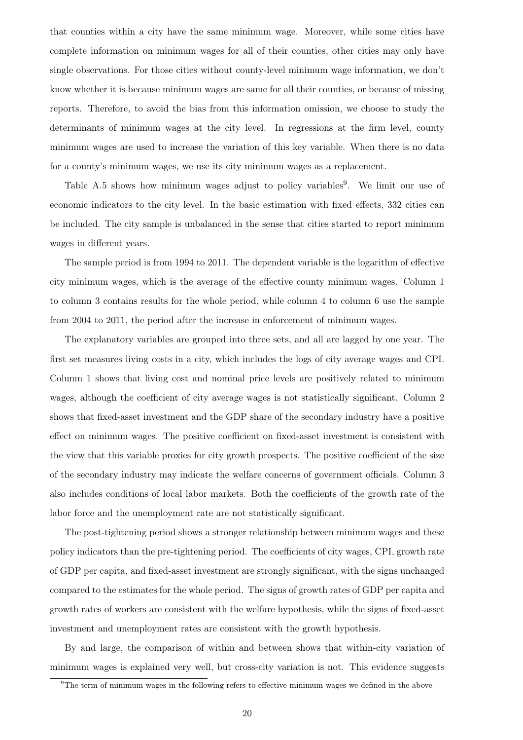that counties within a city have the same minimum wage. Moreover, while some cities have complete information on minimum wages for all of their counties, other cities may only have single observations. For those cities without county-level minimum wage information, we don't know whether it is because minimum wages are same for all their counties, or because of missing reports. Therefore, to avoid the bias from this information omission, we choose to study the determinants of minimum wages at the city level. In regressions at the firm level, county minimum wages are used to increase the variation of this key variable. When there is no data for a county's minimum wages, we use its city minimum wages as a replacement.

Table [A.5](#page-41-0) shows how minimum wages adjust to policy variables<sup>[9](#page-19-0)</sup>. We limit our use of economic indicators to the city level. In the basic estimation with fixed effects, 332 cities can be included. The city sample is unbalanced in the sense that cities started to report minimum wages in different years.

The sample period is from 1994 to 2011. The dependent variable is the logarithm of effective city minimum wages, which is the average of the effective county minimum wages. Column 1 to column 3 contains results for the whole period, while column 4 to column 6 use the sample from 2004 to 2011, the period after the increase in enforcement of minimum wages.

The explanatory variables are grouped into three sets, and all are lagged by one year. The first set measures living costs in a city, which includes the logs of city average wages and CPI. Column 1 shows that living cost and nominal price levels are positively related to minimum wages, although the coefficient of city average wages is not statistically significant. Column 2 shows that fixed-asset investment and the GDP share of the secondary industry have a positive effect on minimum wages. The positive coefficient on fixed-asset investment is consistent with the view that this variable proxies for city growth prospects. The positive coefficient of the size of the secondary industry may indicate the welfare concerns of government officials. Column 3 also includes conditions of local labor markets. Both the coefficients of the growth rate of the labor force and the unemployment rate are not statistically significant.

The post-tightening period shows a stronger relationship between minimum wages and these policy indicators than the pre-tightening period. The coefficients of city wages, CPI, growth rate of GDP per capita, and fixed-asset investment are strongly significant, with the signs unchanged compared to the estimates for the whole period. The signs of growth rates of GDP per capita and growth rates of workers are consistent with the welfare hypothesis, while the signs of fixed-asset investment and unemployment rates are consistent with the growth hypothesis.

By and large, the comparison of within and between shows that within-city variation of minimum wages is explained very well, but cross-city variation is not. This evidence suggests

<span id="page-19-0"></span> $9$ The term of minimum wages in the following refers to effective minimum wages we defined in the above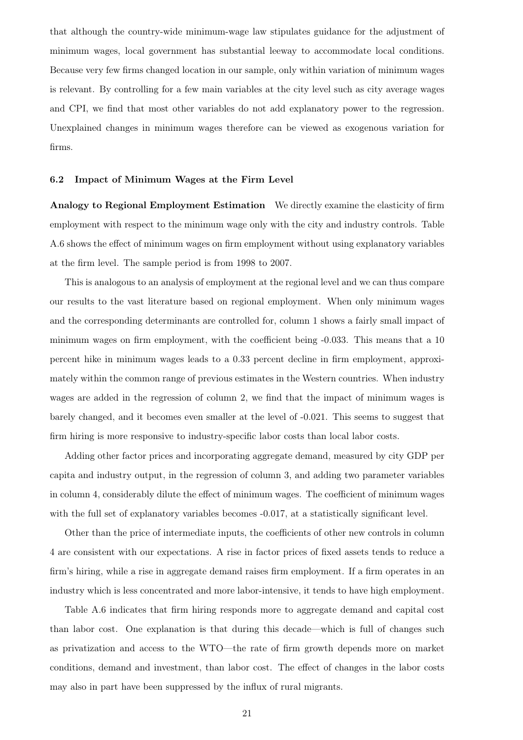that although the country-wide minimum-wage law stipulates guidance for the adjustment of minimum wages, local government has substantial leeway to accommodate local conditions. Because very few firms changed location in our sample, only within variation of minimum wages is relevant. By controlling for a few main variables at the city level such as city average wages and CPI, we find that most other variables do not add explanatory power to the regression. Unexplained changes in minimum wages therefore can be viewed as exogenous variation for firms.

#### 6.2 Impact of Minimum Wages at the Firm Level

Analogy to Regional Employment Estimation We directly examine the elasticity of firm employment with respect to the minimum wage only with the city and industry controls. Table [A.6](#page-42-0) shows the effect of minimum wages on firm employment without using explanatory variables at the firm level. The sample period is from 1998 to 2007.

This is analogous to an analysis of employment at the regional level and we can thus compare our results to the vast literature based on regional employment. When only minimum wages and the corresponding determinants are controlled for, column 1 shows a fairly small impact of minimum wages on firm employment, with the coefficient being -0.033. This means that a 10 percent hike in minimum wages leads to a 0.33 percent decline in firm employment, approximately within the common range of previous estimates in the Western countries. When industry wages are added in the regression of column 2, we find that the impact of minimum wages is barely changed, and it becomes even smaller at the level of -0.021. This seems to suggest that firm hiring is more responsive to industry-specific labor costs than local labor costs.

Adding other factor prices and incorporating aggregate demand, measured by city GDP per capita and industry output, in the regression of column 3, and adding two parameter variables in column 4, considerably dilute the effect of minimum wages. The coefficient of minimum wages with the full set of explanatory variables becomes  $-0.017$ , at a statistically significant level.

Other than the price of intermediate inputs, the coefficients of other new controls in column 4 are consistent with our expectations. A rise in factor prices of fixed assets tends to reduce a firm's hiring, while a rise in aggregate demand raises firm employment. If a firm operates in an industry which is less concentrated and more labor-intensive, it tends to have high employment.

Table [A.6](#page-42-0) indicates that firm hiring responds more to aggregate demand and capital cost than labor cost. One explanation is that during this decade—which is full of changes such as privatization and access to the WTO—the rate of firm growth depends more on market conditions, demand and investment, than labor cost. The effect of changes in the labor costs may also in part have been suppressed by the influx of rural migrants.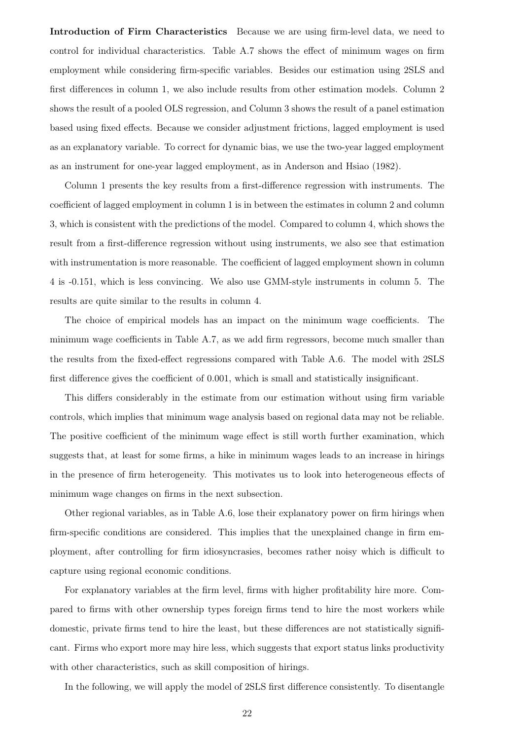Introduction of Firm Characteristics Because we are using firm-level data, we need to control for individual characteristics. Table [A.7](#page-43-0) shows the effect of minimum wages on firm employment while considering firm-specific variables. Besides our estimation using 2SLS and first differences in column 1, we also include results from other estimation models. Column 2 shows the result of a pooled OLS regression, and Column 3 shows the result of a panel estimation based using fixed effects. Because we consider adjustment frictions, lagged employment is used as an explanatory variable. To correct for dynamic bias, we use the two-year lagged employment as an instrument for one-year lagged employment, as in [Anderson and Hsiao](#page-55-10) [\(1982\)](#page-55-10).

Column 1 presents the key results from a first-difference regression with instruments. The coefficient of lagged employment in column 1 is in between the estimates in column 2 and column 3, which is consistent with the predictions of the model. Compared to column 4, which shows the result from a first-difference regression without using instruments, we also see that estimation with instrumentation is more reasonable. The coefficient of lagged employment shown in column 4 is -0.151, which is less convincing. We also use GMM-style instruments in column 5. The results are quite similar to the results in column 4.

The choice of empirical models has an impact on the minimum wage coefficients. The minimum wage coefficients in Table [A.7,](#page-43-0) as we add firm regressors, become much smaller than the results from the fixed-effect regressions compared with Table [A.6.](#page-42-0) The model with 2SLS first difference gives the coefficient of 0.001, which is small and statistically insignificant.

This differs considerably in the estimate from our estimation without using firm variable controls, which implies that minimum wage analysis based on regional data may not be reliable. The positive coefficient of the minimum wage effect is still worth further examination, which suggests that, at least for some firms, a hike in minimum wages leads to an increase in hirings in the presence of firm heterogeneity. This motivates us to look into heterogeneous effects of minimum wage changes on firms in the next subsection.

Other regional variables, as in Table [A.6,](#page-42-0) lose their explanatory power on firm hirings when firm-specific conditions are considered. This implies that the unexplained change in firm employment, after controlling for firm idiosyncrasies, becomes rather noisy which is difficult to capture using regional economic conditions.

For explanatory variables at the firm level, firms with higher profitability hire more. Compared to firms with other ownership types foreign firms tend to hire the most workers while domestic, private firms tend to hire the least, but these differences are not statistically significant. Firms who export more may hire less, which suggests that export status links productivity with other characteristics, such as skill composition of hirings.

In the following, we will apply the model of 2SLS first difference consistently. To disentangle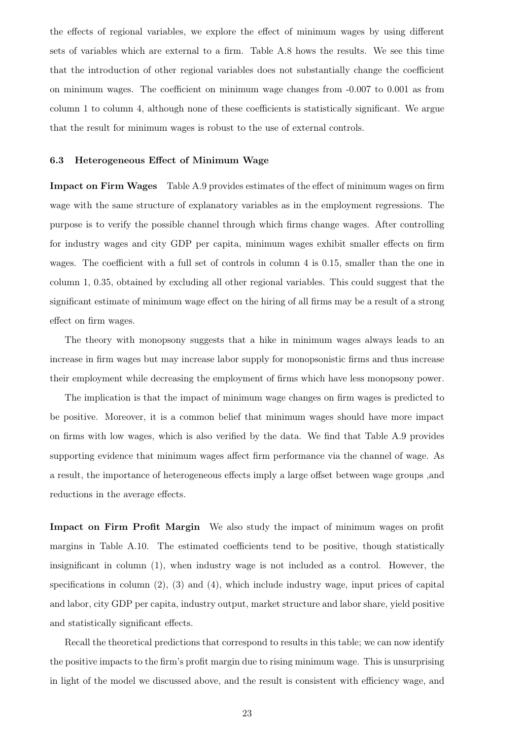the effects of regional variables, we explore the effect of minimum wages by using different sets of variables which are external to a firm. Table [A.8](#page-44-0) hows the results. We see this time that the introduction of other regional variables does not substantially change the coefficient on minimum wages. The coefficient on minimum wage changes from -0.007 to 0.001 as from column 1 to column 4, although none of these coefficients is statistically significant. We argue that the result for minimum wages is robust to the use of external controls.

# 6.3 Heterogeneous Effect of Minimum Wage

Impact on Firm Wages Table [A.9](#page-45-0) provides estimates of the effect of minimum wages on firm wage with the same structure of explanatory variables as in the employment regressions. The purpose is to verify the possible channel through which firms change wages. After controlling for industry wages and city GDP per capita, minimum wages exhibit smaller effects on firm wages. The coefficient with a full set of controls in column 4 is 0.15, smaller than the one in column 1, 0.35, obtained by excluding all other regional variables. This could suggest that the significant estimate of minimum wage effect on the hiring of all firms may be a result of a strong effect on firm wages.

The theory with monopsony suggests that a hike in minimum wages always leads to an increase in firm wages but may increase labor supply for monopsonistic firms and thus increase their employment while decreasing the employment of firms which have less monopsony power.

The implication is that the impact of minimum wage changes on firm wages is predicted to be positive. Moreover, it is a common belief that minimum wages should have more impact on firms with low wages, which is also verified by the data. We find that Table [A.9](#page-45-0) provides supporting evidence that minimum wages affect firm performance via the channel of wage. As a result, the importance of heterogeneous effects imply a large offset between wage groups ,and reductions in the average effects.

Impact on Firm Profit Margin We also study the impact of minimum wages on profit margins in Table [A.10.](#page-46-0) The estimated coefficients tend to be positive, though statistically insignificant in column (1), when industry wage is not included as a control. However, the specifications in column  $(2)$ ,  $(3)$  and  $(4)$ , which include industry wage, input prices of capital and labor, city GDP per capita, industry output, market structure and labor share, yield positive and statistically significant effects.

Recall the theoretical predictions that correspond to results in this table; we can now identify the positive impacts to the firm's profit margin due to rising minimum wage. This is unsurprising in light of the model we discussed above, and the result is consistent with efficiency wage, and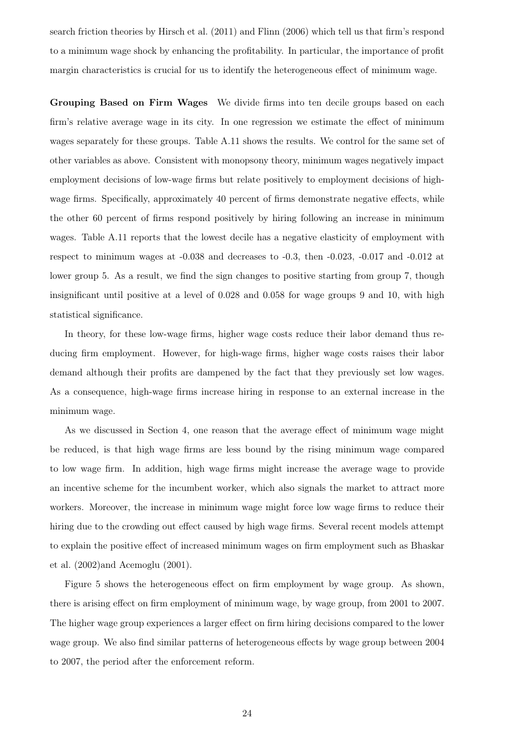search friction theories by [Hirsch et al.](#page-57-3) [\(2011\)](#page-57-3) and [Flinn](#page-56-5) [\(2006\)](#page-56-5) which tell us that firm's respond to a minimum wage shock by enhancing the profitability. In particular, the importance of profit margin characteristics is crucial for us to identify the heterogeneous effect of minimum wage.

Grouping Based on Firm Wages We divide firms into ten decile groups based on each firm's relative average wage in its city. In one regression we estimate the effect of minimum wages separately for these groups. Table [A.11](#page-47-0) shows the results. We control for the same set of other variables as above. Consistent with monopsony theory, minimum wages negatively impact employment decisions of low-wage firms but relate positively to employment decisions of highwage firms. Specifically, approximately 40 percent of firms demonstrate negative effects, while the other 60 percent of firms respond positively by hiring following an increase in minimum wages. Table [A.11](#page-47-0) reports that the lowest decile has a negative elasticity of employment with respect to minimum wages at -0.038 and decreases to -0.3, then -0.023, -0.017 and -0.012 at lower group 5. As a result, we find the sign changes to positive starting from group 7, though insignificant until positive at a level of 0.028 and 0.058 for wage groups 9 and 10, with high statistical significance.

In theory, for these low-wage firms, higher wage costs reduce their labor demand thus reducing firm employment. However, for high-wage firms, higher wage costs raises their labor demand although their profits are dampened by the fact that they previously set low wages. As a consequence, high-wage firms increase hiring in response to an external increase in the minimum wage.

As we discussed in Section 4, one reason that the average effect of minimum wage might be reduced, is that high wage firms are less bound by the rising minimum wage compared to low wage firm. In addition, high wage firms might increase the average wage to provide an incentive scheme for the incumbent worker, which also signals the market to attract more workers. Moreover, the increase in minimum wage might force low wage firms to reduce their hiring due to the crowding out effect caused by high wage firms. Several recent models attempt to explain the positive effect of increased minimum wages on firm employment such as [Bhaskar](#page-55-3) [et al.](#page-55-3) [\(2002\)](#page-55-3)and [Acemoglu](#page-55-5) [\(2001\)](#page-55-5).

Figure [5](#page-24-0) shows the heterogeneous effect on firm employment by wage group. As shown, there is arising effect on firm employment of minimum wage, by wage group, from 2001 to 2007. The higher wage group experiences a larger effect on firm hiring decisions compared to the lower wage group. We also find similar patterns of heterogeneous effects by wage group between 2004 to 2007, the period after the enforcement reform.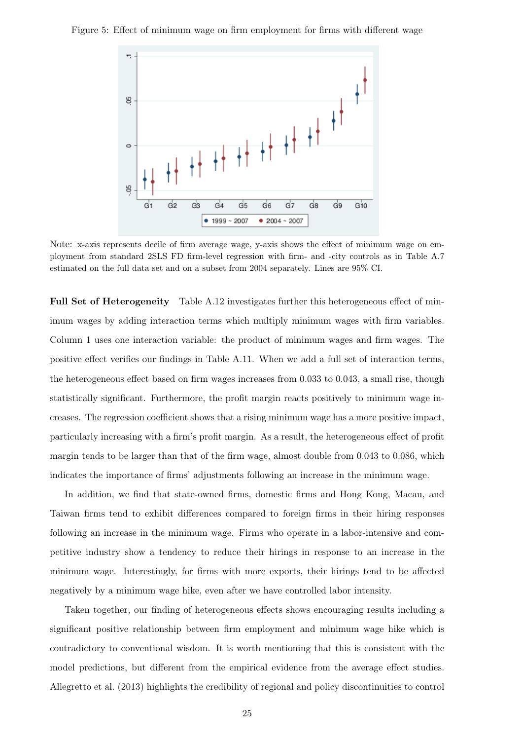<span id="page-24-0"></span>Figure 5: Effect of minimum wage on firm employment for firms with different wage



Note: x-axis represents decile of firm average wage, y-axis shows the effect of minimum wage on employment from standard 2SLS FD firm-level regression with firm- and -city controls as in Table [A.7](#page-43-0) estimated on the full data set and on a subset from 2004 separately. Lines are 95% CI.

Full Set of Heterogeneity Table [A.12](#page-48-0) investigates further this heterogeneous effect of minimum wages by adding interaction terms which multiply minimum wages with firm variables. Column 1 uses one interaction variable: the product of minimum wages and firm wages. The positive effect verifies our findings in Table [A.11.](#page-47-0) When we add a full set of interaction terms, the heterogeneous effect based on firm wages increases from 0.033 to 0.043, a small rise, though statistically significant. Furthermore, the profit margin reacts positively to minimum wage increases. The regression coefficient shows that a rising minimum wage has a more positive impact, particularly increasing with a firm's profit margin. As a result, the heterogeneous effect of profit margin tends to be larger than that of the firm wage, almost double from 0.043 to 0.086, which indicates the importance of firms' adjustments following an increase in the minimum wage.

In addition, we find that state-owned firms, domestic firms and Hong Kong, Macau, and Taiwan firms tend to exhibit differences compared to foreign firms in their hiring responses following an increase in the minimum wage. Firms who operate in a labor-intensive and competitive industry show a tendency to reduce their hirings in response to an increase in the minimum wage. Interestingly, for firms with more exports, their hirings tend to be affected negatively by a minimum wage hike, even after we have controlled labor intensity.

Taken together, our finding of heterogeneous effects shows encouraging results including a significant positive relationship between firm employment and minimum wage hike which is contradictory to conventional wisdom. It is worth mentioning that this is consistent with the model predictions, but different from the empirical evidence from the average effect studies. [Allegretto et al.](#page-55-2) [\(2013\)](#page-55-2) highlights the credibility of regional and policy discontinuities to control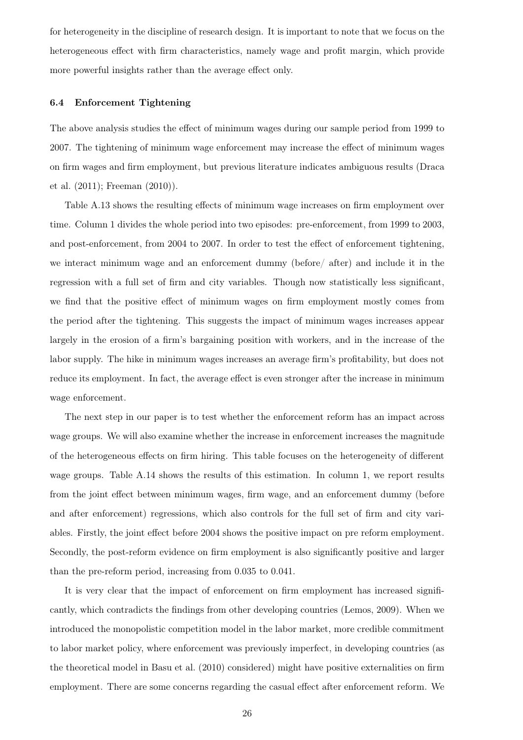for heterogeneity in the discipline of research design. It is important to note that we focus on the heterogeneous effect with firm characteristics, namely wage and profit margin, which provide more powerful insights rather than the average effect only.

#### 6.4 Enforcement Tightening

The above analysis studies the effect of minimum wages during our sample period from 1999 to 2007. The tightening of minimum wage enforcement may increase the effect of minimum wages on firm wages and firm employment, but previous literature indicates ambiguous results [\(Draca](#page-56-2) [et al.](#page-56-2) [\(2011\)](#page-56-2); [Freeman](#page-56-3) [\(2010\)](#page-56-3)).

Table [A.13](#page-49-0) shows the resulting effects of minimum wage increases on firm employment over time. Column 1 divides the whole period into two episodes: pre-enforcement, from 1999 to 2003, and post-enforcement, from 2004 to 2007. In order to test the effect of enforcement tightening, we interact minimum wage and an enforcement dummy (before/ after) and include it in the regression with a full set of firm and city variables. Though now statistically less significant, we find that the positive effect of minimum wages on firm employment mostly comes from the period after the tightening. This suggests the impact of minimum wages increases appear largely in the erosion of a firm's bargaining position with workers, and in the increase of the labor supply. The hike in minimum wages increases an average firm's profitability, but does not reduce its employment. In fact, the average effect is even stronger after the increase in minimum wage enforcement.

The next step in our paper is to test whether the enforcement reform has an impact across wage groups. We will also examine whether the increase in enforcement increases the magnitude of the heterogeneous effects on firm hiring. This table focuses on the heterogeneity of different wage groups. Table [A.14](#page-50-0) shows the results of this estimation. In column 1, we report results from the joint effect between minimum wages, firm wage, and an enforcement dummy (before and after enforcement) regressions, which also controls for the full set of firm and city variables. Firstly, the joint effect before 2004 shows the positive impact on pre reform employment. Secondly, the post-reform evidence on firm employment is also significantly positive and larger than the pre-reform period, increasing from 0.035 to 0.041.

It is very clear that the impact of enforcement on firm employment has increased significantly, which contradicts the findings from other developing countries [\(Lemos, 2009\)](#page-57-10). When we introduced the monopolistic competition model in the labor market, more credible commitment to labor market policy, where enforcement was previously imperfect, in developing countries (as the theoretical model in [Basu et al.](#page-55-6) [\(2010\)](#page-55-6) considered) might have positive externalities on firm employment. There are some concerns regarding the casual effect after enforcement reform. We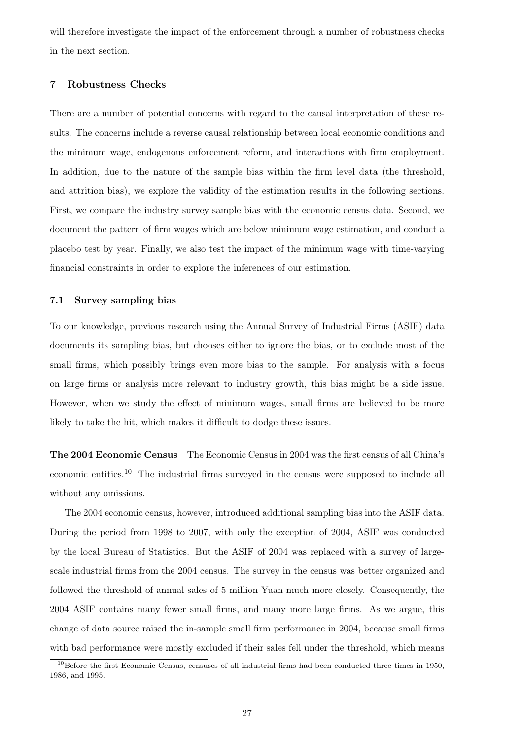will therefore investigate the impact of the enforcement through a number of robustness checks in the next section.

# 7 Robustness Checks

There are a number of potential concerns with regard to the causal interpretation of these results. The concerns include a reverse causal relationship between local economic conditions and the minimum wage, endogenous enforcement reform, and interactions with firm employment. In addition, due to the nature of the sample bias within the firm level data (the threshold, and attrition bias), we explore the validity of the estimation results in the following sections. First, we compare the industry survey sample bias with the economic census data. Second, we document the pattern of firm wages which are below minimum wage estimation, and conduct a placebo test by year. Finally, we also test the impact of the minimum wage with time-varying financial constraints in order to explore the inferences of our estimation.

#### 7.1 Survey sampling bias

To our knowledge, previous research using the Annual Survey of Industrial Firms (ASIF) data documents its sampling bias, but chooses either to ignore the bias, or to exclude most of the small firms, which possibly brings even more bias to the sample. For analysis with a focus on large firms or analysis more relevant to industry growth, this bias might be a side issue. However, when we study the effect of minimum wages, small firms are believed to be more likely to take the hit, which makes it difficult to dodge these issues.

The 2004 Economic Census The Economic Census in 2004 was the first census of all China's economic entities.[10](#page-26-0) The industrial firms surveyed in the census were supposed to include all without any omissions.

The 2004 economic census, however, introduced additional sampling bias into the ASIF data. During the period from 1998 to 2007, with only the exception of 2004, ASIF was conducted by the local Bureau of Statistics. But the ASIF of 2004 was replaced with a survey of largescale industrial firms from the 2004 census. The survey in the census was better organized and followed the threshold of annual sales of 5 million Yuan much more closely. Consequently, the 2004 ASIF contains many fewer small firms, and many more large firms. As we argue, this change of data source raised the in-sample small firm performance in 2004, because small firms with bad performance were mostly excluded if their sales fell under the threshold, which means

<span id="page-26-0"></span> $10B$ efore the first Economic Census, censuses of all industrial firms had been conducted three times in 1950, 1986, and 1995.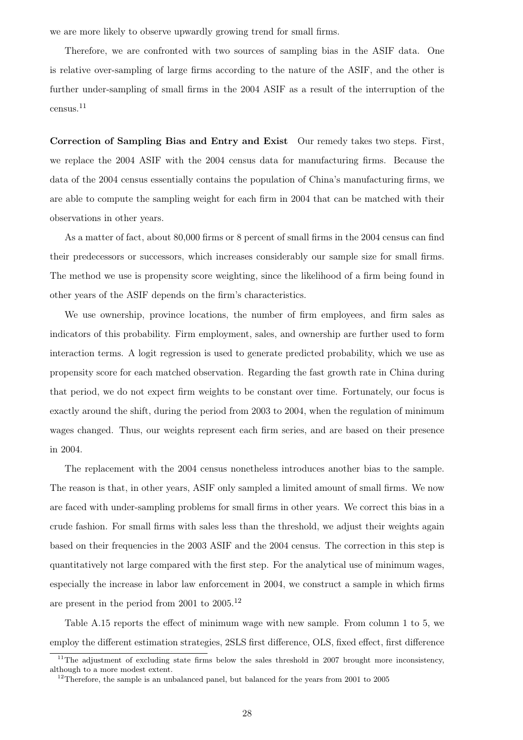we are more likely to observe upwardly growing trend for small firms.

Therefore, we are confronted with two sources of sampling bias in the ASIF data. One is relative over-sampling of large firms according to the nature of the ASIF, and the other is further under-sampling of small firms in the 2004 ASIF as a result of the interruption of the census.[11](#page-27-0)

Correction of Sampling Bias and Entry and Exist Our remedy takes two steps. First, we replace the 2004 ASIF with the 2004 census data for manufacturing firms. Because the data of the 2004 census essentially contains the population of China's manufacturing firms, we are able to compute the sampling weight for each firm in 2004 that can be matched with their observations in other years.

As a matter of fact, about 80,000 firms or 8 percent of small firms in the 2004 census can find their predecessors or successors, which increases considerably our sample size for small firms. The method we use is propensity score weighting, since the likelihood of a firm being found in other years of the ASIF depends on the firm's characteristics.

We use ownership, province locations, the number of firm employees, and firm sales as indicators of this probability. Firm employment, sales, and ownership are further used to form interaction terms. A logit regression is used to generate predicted probability, which we use as propensity score for each matched observation. Regarding the fast growth rate in China during that period, we do not expect firm weights to be constant over time. Fortunately, our focus is exactly around the shift, during the period from 2003 to 2004, when the regulation of minimum wages changed. Thus, our weights represent each firm series, and are based on their presence in 2004.

The replacement with the 2004 census nonetheless introduces another bias to the sample. The reason is that, in other years, ASIF only sampled a limited amount of small firms. We now are faced with under-sampling problems for small firms in other years. We correct this bias in a crude fashion. For small firms with sales less than the threshold, we adjust their weights again based on their frequencies in the 2003 ASIF and the 2004 census. The correction in this step is quantitatively not large compared with the first step. For the analytical use of minimum wages, especially the increase in labor law enforcement in 2004, we construct a sample in which firms are present in the period from 2001 to 2005.[12](#page-27-1)

Table [A.15](#page-51-0) reports the effect of minimum wage with new sample. From column 1 to 5, we employ the different estimation strategies, 2SLS first difference, OLS, fixed effect, first difference

<span id="page-27-0"></span><sup>&</sup>lt;sup>11</sup>The adjustment of excluding state firms below the sales threshold in 2007 brought more inconsistency, although to a more modest extent.

<span id="page-27-1"></span><sup>&</sup>lt;sup>12</sup>Therefore, the sample is an unbalanced panel, but balanced for the years from 2001 to 2005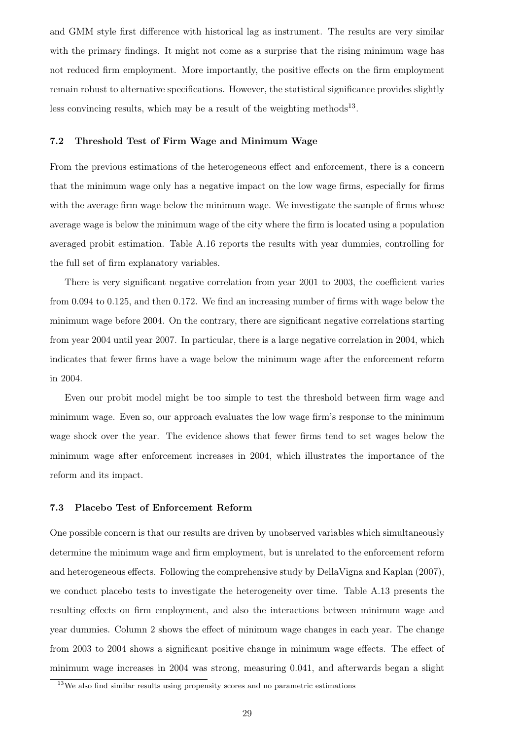and GMM style first difference with historical lag as instrument. The results are very similar with the primary findings. It might not come as a surprise that the rising minimum wage has not reduced firm employment. More importantly, the positive effects on the firm employment remain robust to alternative specifications. However, the statistical significance provides slightly less convincing results, which may be a result of the weighting methods<sup>[13](#page-28-0)</sup>.

# 7.2 Threshold Test of Firm Wage and Minimum Wage

From the previous estimations of the heterogeneous effect and enforcement, there is a concern that the minimum wage only has a negative impact on the low wage firms, especially for firms with the average firm wage below the minimum wage. We investigate the sample of firms whose average wage is below the minimum wage of the city where the firm is located using a population averaged probit estimation. Table [A.16](#page-52-0) reports the results with year dummies, controlling for the full set of firm explanatory variables.

There is very significant negative correlation from year 2001 to 2003, the coefficient varies from 0.094 to 0.125, and then 0.172. We find an increasing number of firms with wage below the minimum wage before 2004. On the contrary, there are significant negative correlations starting from year 2004 until year 2007. In particular, there is a large negative correlation in 2004, which indicates that fewer firms have a wage below the minimum wage after the enforcement reform in 2004.

Even our probit model might be too simple to test the threshold between firm wage and minimum wage. Even so, our approach evaluates the low wage firm's response to the minimum wage shock over the year. The evidence shows that fewer firms tend to set wages below the minimum wage after enforcement increases in 2004, which illustrates the importance of the reform and its impact.

#### 7.3 Placebo Test of Enforcement Reform

One possible concern is that our results are driven by unobserved variables which simultaneously determine the minimum wage and firm employment, but is unrelated to the enforcement reform and heterogeneous effects. Following the comprehensive study by [DellaVigna and Kaplan](#page-56-10) [\(2007\)](#page-56-10), we conduct placebo tests to investigate the heterogeneity over time. Table [A.13](#page-49-0) presents the resulting effects on firm employment, and also the interactions between minimum wage and year dummies. Column 2 shows the effect of minimum wage changes in each year. The change from 2003 to 2004 shows a significant positive change in minimum wage effects. The effect of minimum wage increases in 2004 was strong, measuring 0.041, and afterwards began a slight

<span id="page-28-0"></span><sup>&</sup>lt;sup>13</sup>We also find similar results using propensity scores and no parametric estimations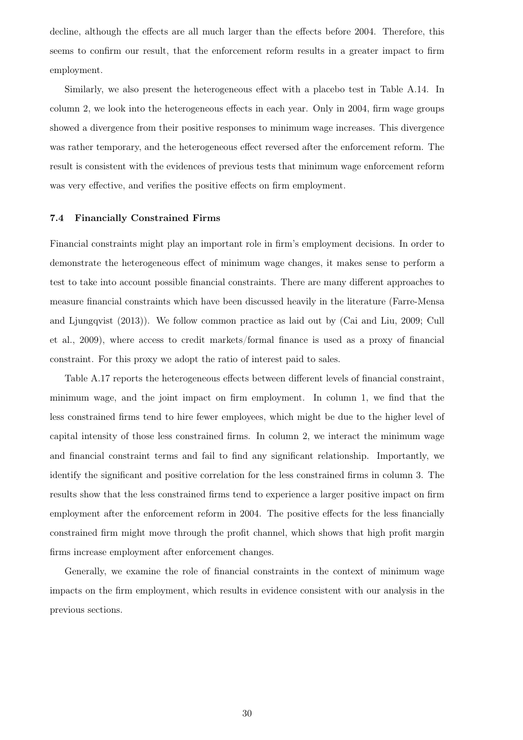decline, although the effects are all much larger than the effects before 2004. Therefore, this seems to confirm our result, that the enforcement reform results in a greater impact to firm employment.

Similarly, we also present the heterogeneous effect with a placebo test in Table [A.14.](#page-50-0) In column 2, we look into the heterogeneous effects in each year. Only in 2004, firm wage groups showed a divergence from their positive responses to minimum wage increases. This divergence was rather temporary, and the heterogeneous effect reversed after the enforcement reform. The result is consistent with the evidences of previous tests that minimum wage enforcement reform was very effective, and verifies the positive effects on firm employment.

#### 7.4 Financially Constrained Firms

Financial constraints might play an important role in firm's employment decisions. In order to demonstrate the heterogeneous effect of minimum wage changes, it makes sense to perform a test to take into account possible financial constraints. There are many different approaches to measure financial constraints which have been discussed heavily in the literature [\(Farre-Mensa](#page-56-11) [and Ljungqvist](#page-56-11) [\(2013\)](#page-56-11)). We follow common practice as laid out by [\(Cai and Liu, 2009;](#page-55-11) [Cull](#page-56-12) [et al., 2009\)](#page-56-12), where access to credit markets/formal finance is used as a proxy of financial constraint. For this proxy we adopt the ratio of interest paid to sales.

Table [A.17](#page-52-1) reports the heterogeneous effects between different levels of financial constraint, minimum wage, and the joint impact on firm employment. In column 1, we find that the less constrained firms tend to hire fewer employees, which might be due to the higher level of capital intensity of those less constrained firms. In column 2, we interact the minimum wage and financial constraint terms and fail to find any significant relationship. Importantly, we identify the significant and positive correlation for the less constrained firms in column 3. The results show that the less constrained firms tend to experience a larger positive impact on firm employment after the enforcement reform in 2004. The positive effects for the less financially constrained firm might move through the profit channel, which shows that high profit margin firms increase employment after enforcement changes.

Generally, we examine the role of financial constraints in the context of minimum wage impacts on the firm employment, which results in evidence consistent with our analysis in the previous sections.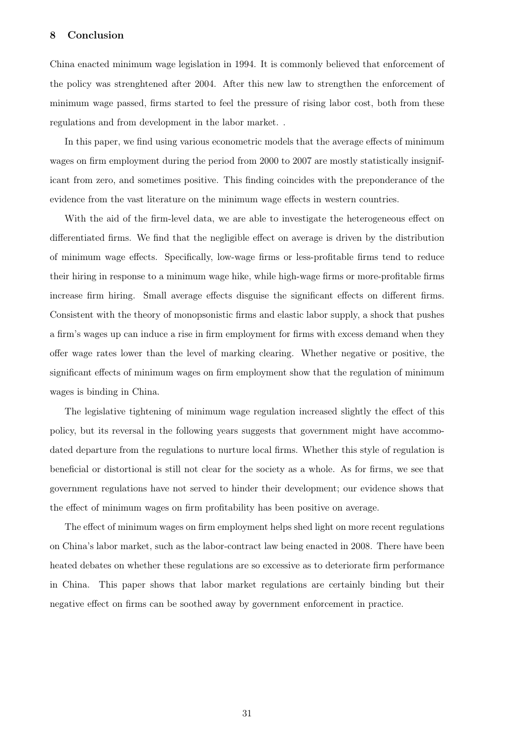# 8 Conclusion

China enacted minimum wage legislation in 1994. It is commonly believed that enforcement of the policy was strenghtened after 2004. After this new law to strengthen the enforcement of minimum wage passed, firms started to feel the pressure of rising labor cost, both from these regulations and from development in the labor market. .

In this paper, we find using various econometric models that the average effects of minimum wages on firm employment during the period from 2000 to 2007 are mostly statistically insignificant from zero, and sometimes positive. This finding coincides with the preponderance of the evidence from the vast literature on the minimum wage effects in western countries.

With the aid of the firm-level data, we are able to investigate the heterogeneous effect on differentiated firms. We find that the negligible effect on average is driven by the distribution of minimum wage effects. Specifically, low-wage firms or less-profitable firms tend to reduce their hiring in response to a minimum wage hike, while high-wage firms or more-profitable firms increase firm hiring. Small average effects disguise the significant effects on different firms. Consistent with the theory of monopsonistic firms and elastic labor supply, a shock that pushes a firm's wages up can induce a rise in firm employment for firms with excess demand when they offer wage rates lower than the level of marking clearing. Whether negative or positive, the significant effects of minimum wages on firm employment show that the regulation of minimum wages is binding in China.

The legislative tightening of minimum wage regulation increased slightly the effect of this policy, but its reversal in the following years suggests that government might have accommodated departure from the regulations to nurture local firms. Whether this style of regulation is beneficial or distortional is still not clear for the society as a whole. As for firms, we see that government regulations have not served to hinder their development; our evidence shows that the effect of minimum wages on firm profitability has been positive on average.

The effect of minimum wages on firm employment helps shed light on more recent regulations on China's labor market, such as the labor-contract law being enacted in 2008. There have been heated debates on whether these regulations are so excessive as to deteriorate firm performance in China. This paper shows that labor market regulations are certainly binding but their negative effect on firms can be soothed away by government enforcement in practice.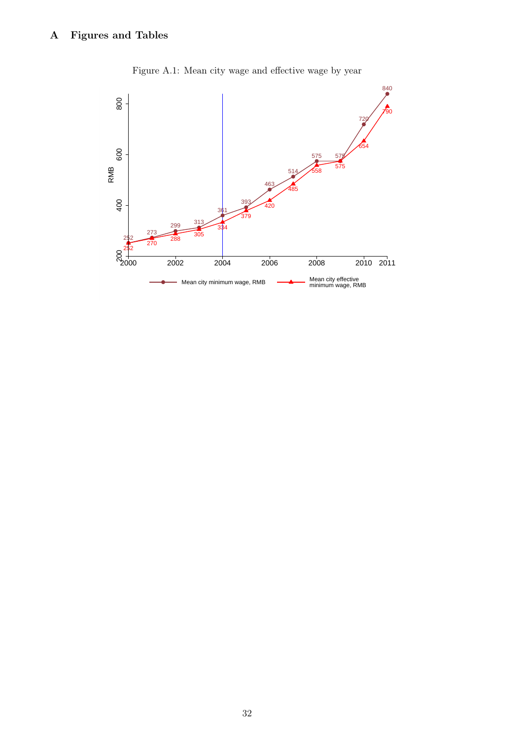

Figure A.1: Mean city wage and effective wage by year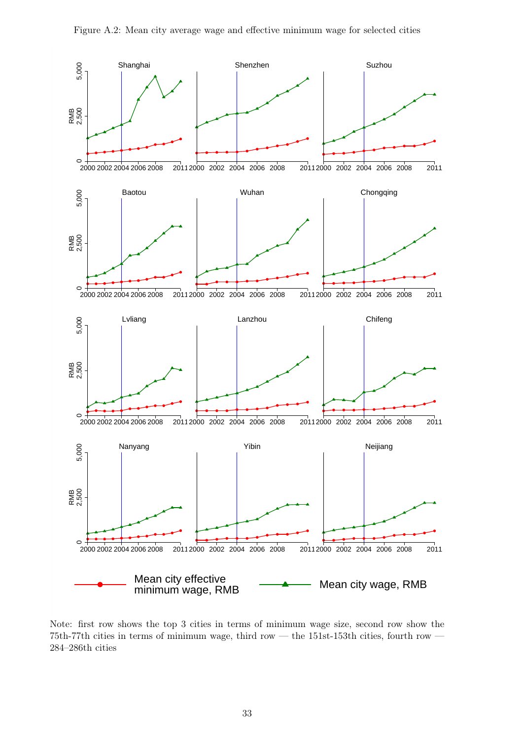

Note: first row shows the top 3 cities in terms of minimum wage size, second row show the 75th-77th cities in terms of minimum wage, third row — the 151st-153th cities, fourth row — 284–286th cities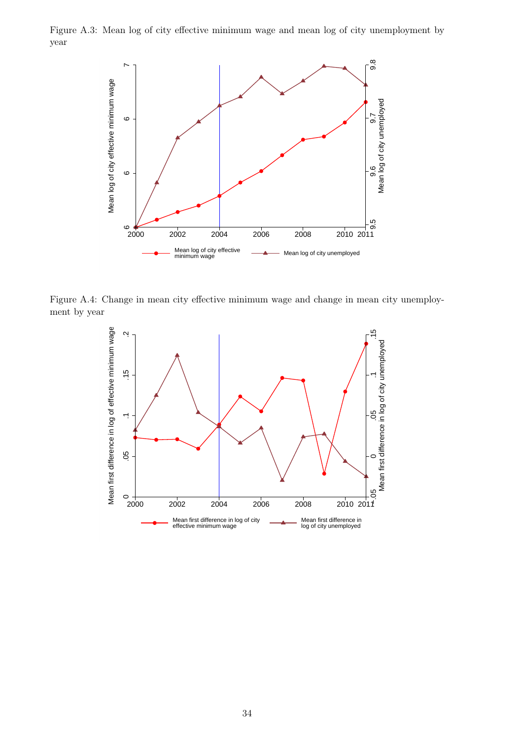<span id="page-33-0"></span>Figure A.3: Mean log of city effective minimum wage and mean log of city unemployment by year



<span id="page-33-1"></span>Figure A.4: Change in mean city effective minimum wage and change in mean city unemployment by year

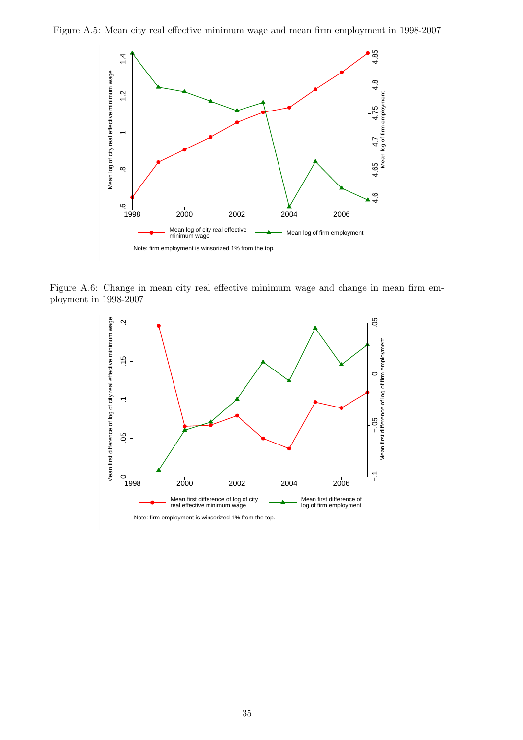<span id="page-34-0"></span>



<span id="page-34-1"></span>Figure A.6: Change in mean city real effective minimum wage and change in mean firm employment in 1998-2007



Note: firm employment is winsorized 1% from the top.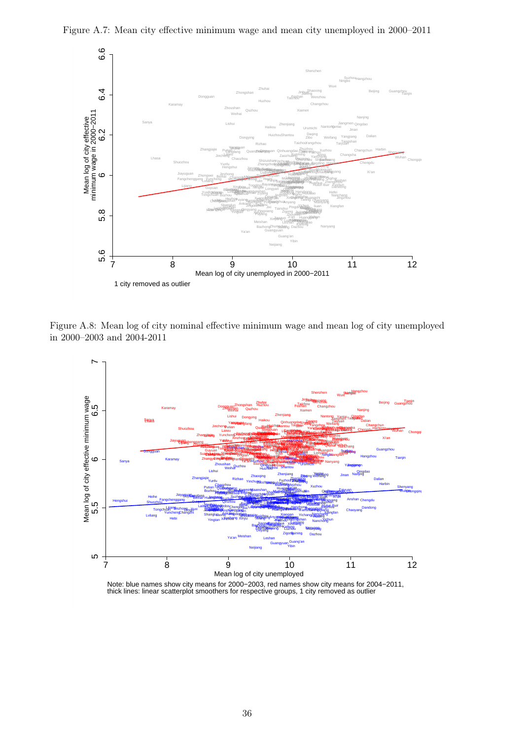

Figure A.7: Mean city effective minimum wage and mean city unemployed in 2000–2011

Figure A.8: Mean log of city nominal effective minimum wage and mean log of city unemployed in 2000–2003 and 2004-2011



Note: blue names show city means for 2000−2003, red names show city means for 2004−2011, thick lines: linear scatterplot smoothers for respective groups, 1 city removed as outlier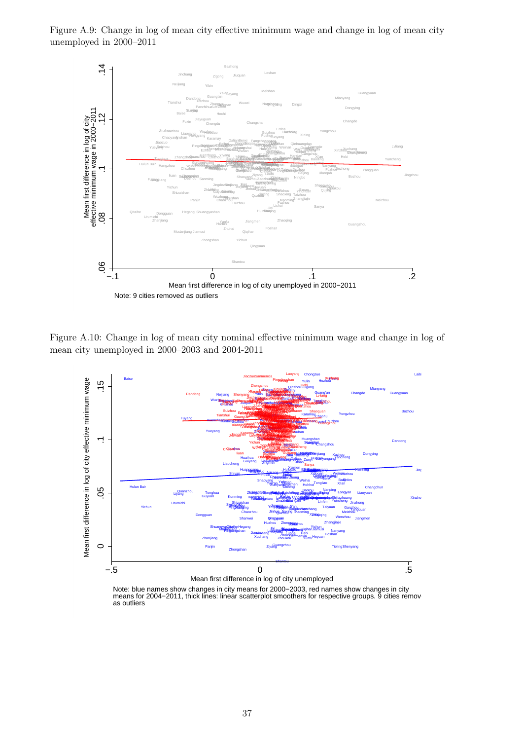Figure A.9: Change in log of mean city effective minimum wage and change in log of mean city unemployed in 2000–2011



Figure A.10: Change in log of mean city nominal effective minimum wage and change in log of mean city unemployed in 2000–2003 and 2004-2011



Note: blue names show changes in city means for 2000–2003, red names show changes in city<br>means for 2004–2011, thick lines: linear scatterplot smoothers for respective groups. 9 cities remov as outliers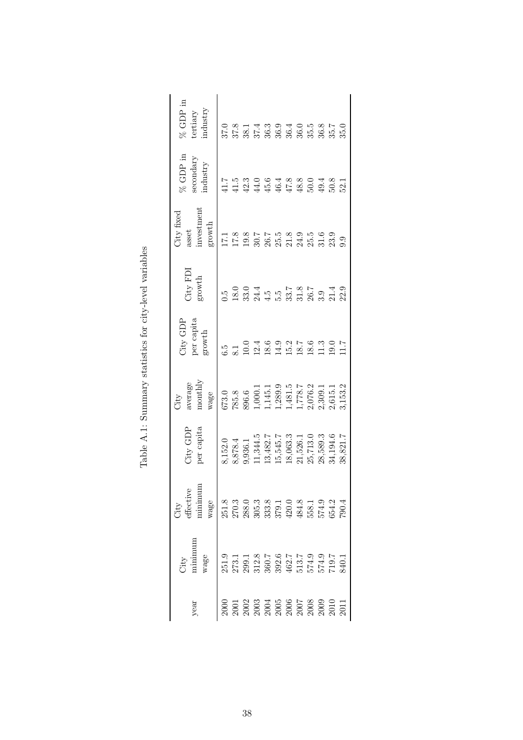<span id="page-37-0"></span>

| real                                                                                                                                                                                                                                                                                                          | vage<br>Vity                                                                                                                                                    | vage<br>City                                                                                                                                                                                                                                                                                        | per capita<br>$7ity$ GDP                                                                                | nonthly<br>average<br>wage<br>A                                                                                                                                                                                                                                 | <b>Jity GDP</b><br>per capita<br>growth | $\mathrm{City}$ FDI<br>growth                                                      | nvestment<br><b>Jity</b> fixed<br>$\operatorname{growth}$<br>asset | $\%$ GDP in<br>secondary<br>$_{\rm ndustry}$ | $\%$ GDP in<br>mdustry<br>tertiary                                                        |
|---------------------------------------------------------------------------------------------------------------------------------------------------------------------------------------------------------------------------------------------------------------------------------------------------------------|-----------------------------------------------------------------------------------------------------------------------------------------------------------------|-----------------------------------------------------------------------------------------------------------------------------------------------------------------------------------------------------------------------------------------------------------------------------------------------------|---------------------------------------------------------------------------------------------------------|-----------------------------------------------------------------------------------------------------------------------------------------------------------------------------------------------------------------------------------------------------------------|-----------------------------------------|------------------------------------------------------------------------------------|--------------------------------------------------------------------|----------------------------------------------|-------------------------------------------------------------------------------------------|
| 000                                                                                                                                                                                                                                                                                                           |                                                                                                                                                                 |                                                                                                                                                                                                                                                                                                     | 3,152.0                                                                                                 |                                                                                                                                                                                                                                                                 |                                         |                                                                                    | 1.71                                                               |                                              |                                                                                           |
| $\begin{array}{l} 2001 \\ 2003 \\ 2003 \\ 2004 \\ 2005 \\ 2006 \\ 2007 \\ 2008 \\ 2000 \\ 2000 \\ 2000 \\ 2001 \\ 2011 \\ 2011 \\ 2011 \\ 2011 \\ 2011 \\ 2011 \\ 2011 \\ 2011 \\ 2011 \\ 2011 \\ 2011 \\ 2011 \\ 2011 \\ 2011 \\ 2011 \\ 2011 \\ 2011 \\ 2012 \\ 2012 \\ 2012 \\ 2012 \\ 2012 \\ 2013 \\ 20$ | 0<br>2003 12 2005 12 2005 12 2005 12 2006<br>2006 12 2006 12 2006 12 2006 12 2006<br>2006 12 2006 12 2006 12 2006 12 2006 12 2006 12 2006 12 2006 12 2006 12 20 | $\begin{array}{l} 251.8 \\ 250.3 \\ 250.6 \\ 250.7 \\ 250.8 \\ 250.9 \\ 250.9 \\ 250.9 \\ 250.1 \\ 250.1 \\ 250.1 \\ 250.1 \\ 250.1 \\ 250.1 \\ 250.1 \\ 250.1 \\ 250.1 \\ 250.1 \\ 250.1 \\ 250.1 \\ 250.1 \\ 250.1 \\ 250.1 \\ 250.1 \\ 250.1 \\ 250.1 \\ 250.1 \\ 250.1 \\ 250.1 \\ 250.1 \\ 25$ | 8,878.4<br>9,936.1<br>11,344.5<br>13,482.7<br>15,545.7<br>15,526.1<br>21,526.1<br>22,5389.3<br>23,194.6 | $\begin{array}{l} 673.0\\ 785.8\\ 896.6\\ 1,0001.1\\ 1,145.1\\ 1,289.9\\ 1,481.5\\ 2,076.2\\ 2,615.1\\ 2,615.1\\ 2,615.2\\ 3,153.2\\ 3,153.2\\ 3,153.2\\ 3,153.3\\ 3,153.3\\ 3,153.3\\ 3,153.3\\ 3,153.3\\ 3,153.3\\ 3,153.3\\ 3,153.3\\ 3,153.3\\ 3,153.3\\ 3$ |                                         | 15 0 0 0 4<br>0 2 3 0 4 4 5 6 5 7 6 7 7 9 7 9 7<br>0 2 3 7 4 5 6 7 8 7 8 7 8 7 8 7 |                                                                    |                                              | 0 0 0 1 4 0 0 4 0 10 0 1 0<br>0 7 0 1 4 0 0 4 0 10 0 10 10<br>0 7 0 1 4 0 0 4 0 10 0 10 1 |
|                                                                                                                                                                                                                                                                                                               |                                                                                                                                                                 |                                                                                                                                                                                                                                                                                                     |                                                                                                         |                                                                                                                                                                                                                                                                 |                                         |                                                                                    |                                                                    |                                              |                                                                                           |
|                                                                                                                                                                                                                                                                                                               |                                                                                                                                                                 |                                                                                                                                                                                                                                                                                                     |                                                                                                         |                                                                                                                                                                                                                                                                 |                                         |                                                                                    |                                                                    |                                              |                                                                                           |
|                                                                                                                                                                                                                                                                                                               |                                                                                                                                                                 |                                                                                                                                                                                                                                                                                                     |                                                                                                         |                                                                                                                                                                                                                                                                 |                                         |                                                                                    |                                                                    |                                              |                                                                                           |
|                                                                                                                                                                                                                                                                                                               |                                                                                                                                                                 |                                                                                                                                                                                                                                                                                                     |                                                                                                         |                                                                                                                                                                                                                                                                 |                                         |                                                                                    |                                                                    |                                              |                                                                                           |
|                                                                                                                                                                                                                                                                                                               |                                                                                                                                                                 |                                                                                                                                                                                                                                                                                                     |                                                                                                         |                                                                                                                                                                                                                                                                 |                                         |                                                                                    |                                                                    |                                              |                                                                                           |
|                                                                                                                                                                                                                                                                                                               |                                                                                                                                                                 |                                                                                                                                                                                                                                                                                                     |                                                                                                         |                                                                                                                                                                                                                                                                 |                                         |                                                                                    |                                                                    |                                              |                                                                                           |
|                                                                                                                                                                                                                                                                                                               |                                                                                                                                                                 |                                                                                                                                                                                                                                                                                                     |                                                                                                         |                                                                                                                                                                                                                                                                 |                                         |                                                                                    |                                                                    |                                              |                                                                                           |
|                                                                                                                                                                                                                                                                                                               |                                                                                                                                                                 |                                                                                                                                                                                                                                                                                                     |                                                                                                         |                                                                                                                                                                                                                                                                 |                                         |                                                                                    |                                                                    |                                              |                                                                                           |
|                                                                                                                                                                                                                                                                                                               |                                                                                                                                                                 |                                                                                                                                                                                                                                                                                                     |                                                                                                         |                                                                                                                                                                                                                                                                 |                                         |                                                                                    |                                                                    |                                              |                                                                                           |
|                                                                                                                                                                                                                                                                                                               |                                                                                                                                                                 |                                                                                                                                                                                                                                                                                                     | 38,821.7                                                                                                |                                                                                                                                                                                                                                                                 | $\overline{117}$                        |                                                                                    |                                                                    |                                              |                                                                                           |
|                                                                                                                                                                                                                                                                                                               |                                                                                                                                                                 |                                                                                                                                                                                                                                                                                                     |                                                                                                         |                                                                                                                                                                                                                                                                 |                                         |                                                                                    |                                                                    |                                              |                                                                                           |

Table A.1: Summary statistics for city-level variables Table A.1: Summary statistics for city-level variables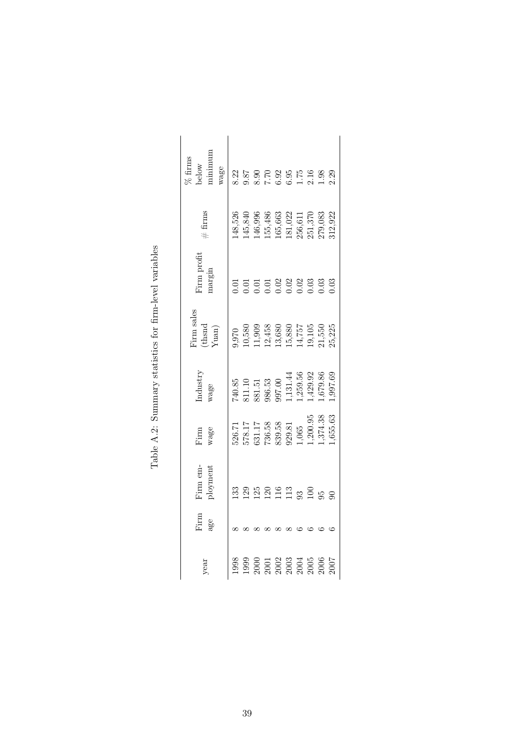<span id="page-38-0"></span>

| minimum<br>$\%$ firms<br>below<br>wage |              |    |  |  | $23.59$<br>$25.59$<br>$25.59$<br>$25.59$<br>$25.59$<br>$25.59$<br>$25.59$<br>$25.59$                                                               |  |
|----------------------------------------|--------------|----|--|--|----------------------------------------------------------------------------------------------------------------------------------------------------|--|
| $#$ firms                              |              |    |  |  | 148,526<br>145,840<br>146,996<br>155,486<br>155,663<br>151,022<br>256,611<br>279,083<br>279,083                                                    |  |
| <sup>r</sup> irm profit<br>nargin      |              |    |  |  |                                                                                                                                                    |  |
| Firm sales<br>(thsnd<br>Yuan)          |              |    |  |  | 9,970<br>10,580<br>11,909 13,458<br>11,757<br>13,550<br>13,550<br>15,525<br>25,225                                                                 |  |
| ndustry<br>vage                        |              |    |  |  | $[ \begin{array}{l} 740.85 \\ 881.11 \\ 881.51 \\ 986.53 \\ 997.00 \\ 1, 131.44 \\ 1, 259.56 \\ 1, 429.92 \\ 997.60 \\ 1, 679.86 \\ \end{array} ]$ |  |
| $\lim_{\text{range}}$                  |              |    |  |  | $\begin{array}{l} 526.71 \\ 578.17 \\ 631.17 \\ 736.58 \\ 839.58 \\ 1,065 \\ 1,200.95 \\ \vdots,374.38 \\ \vdots,356.63 \end{array}$               |  |
| Firm em-<br>ployment                   | $\mathbb{E}$ | 29 |  |  | 130000000000                                                                                                                                       |  |
| Firm<br>ge                             |              |    |  |  |                                                                                                                                                    |  |
| year                                   | 988          |    |  |  | $\begin{array}{l} 1999\\ 1900\\ 2001\\ 2002\\ 2003\\ 2003\\ 2004\\ 2005\\ 2006\\ 2007\\ 2007 \end{array}$                                          |  |

Table A.2: Summary statistics for firm-level variables Table A.2: Summary statistics for firm-level variables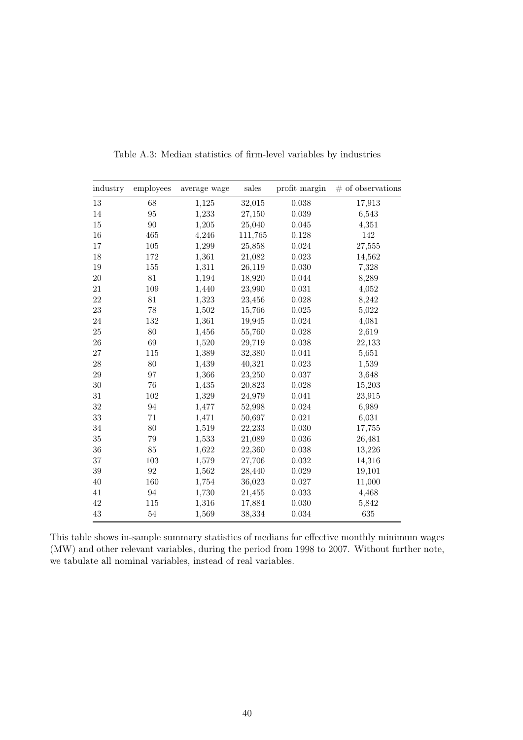<span id="page-39-0"></span>

| industry | employees | average wage | sales   | profit margin | $#$ of observations |
|----------|-----------|--------------|---------|---------------|---------------------|
| 13       | 68        | 1,125        | 32,015  | 0.038         | 17,913              |
| 14       | 95        | 1,233        | 27,150  | 0.039         | 6,543               |
| 15       | 90        | 1,205        | 25,040  | 0.045         | 4,351               |
| 16       | 465       | 4,246        | 111,765 | 0.128         | 142                 |
| 17       | 105       | 1,299        | 25,858  | 0.024         | 27,555              |
| 18       | 172       | 1,361        | 21,082  | 0.023         | 14,562              |
| 19       | 155       | 1,311        | 26,119  | 0.030         | 7,328               |
| 20       | 81        | 1,194        | 18,920  | 0.044         | 8,289               |
| 21       | 109       | 1,440        | 23,990  | 0.031         | 4,052               |
| 22       | 81        | 1,323        | 23,456  | 0.028         | 8,242               |
| 23       | 78        | 1,502        | 15,766  | 0.025         | 5,022               |
| 24       | 132       | 1,361        | 19,945  | 0.024         | 4,081               |
| 25       | 80        | 1,456        | 55,760  | 0.028         | 2,619               |
| 26       | 69        | 1,520        | 29,719  | 0.038         | 22,133              |
| 27       | 115       | 1,389        | 32,380  | 0.041         | 5,651               |
| 28       | 80        | 1,439        | 40,321  | 0.023         | 1,539               |
| 29       | 97        | 1,366        | 23,250  | 0.037         | 3,648               |
| 30       | 76        | 1,435        | 20,823  | 0.028         | 15,203              |
| 31       | 102       | 1,329        | 24,979  | 0.041         | 23,915              |
| 32       | 94        | 1,477        | 52,998  | 0.024         | 6,989               |
| 33       | 71        | 1,471        | 50,697  | 0.021         | 6,031               |
| 34       | 80        | 1,519        | 22,233  | 0.030         | 17,755              |
| 35       | 79        | 1,533        | 21,089  | 0.036         | 26,481              |
| 36       | 85        | 1,622        | 22,360  | 0.038         | 13,226              |
| 37       | 103       | 1,579        | 27,706  | 0.032         | 14,316              |
| 39       | 92        | 1,562        | 28,440  | 0.029         | 19,101              |
| 40       | 160       | 1,754        | 36,023  | 0.027         | 11,000              |
| 41       | 94        | 1,730        | 21,455  | 0.033         | 4,468               |
| 42       | 115       | 1,316        | 17,884  | 0.030         | 5,842               |
| 43       | 54        | 1,569        | 38,334  | 0.034         | 635                 |

Table A.3: Median statistics of firm-level variables by industries

This table shows in-sample summary statistics of medians for effective monthly minimum wages (MW) and other relevant variables, during the period from 1998 to 2007. Without further note, we tabulate all nominal variables, instead of real variables.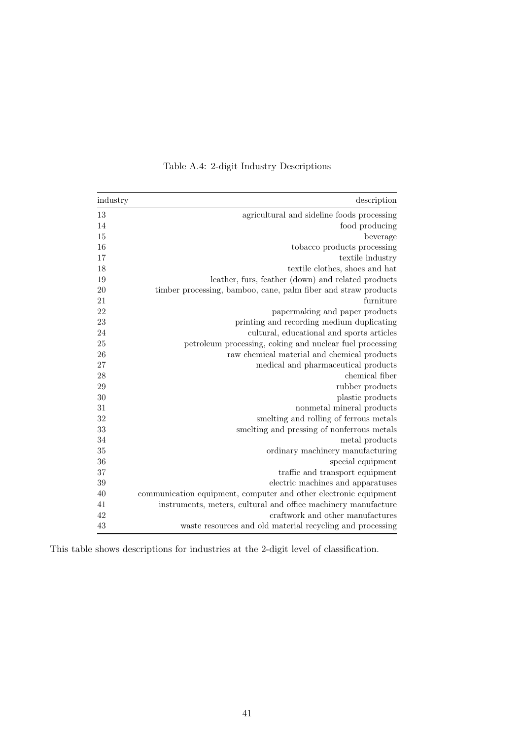| industry | description                                                      |
|----------|------------------------------------------------------------------|
| 13       | agricultural and sideline foods processing                       |
| 14       | food producing                                                   |
| 15       | beverage                                                         |
| 16       | tobacco products processing                                      |
| 17       | textile industry                                                 |
| 18       | textile clothes, shoes and hat                                   |
| 19       | leather, furs, feather (down) and related products               |
| 20       | timber processing, bamboo, cane, palm fiber and straw products   |
| 21       | furniture                                                        |
| 22       | papermaking and paper products                                   |
| 23       | printing and recording medium duplicating                        |
| 24       | cultural, educational and sports articles                        |
| 25       | petroleum processing, coking and nuclear fuel processing         |
| 26       | raw chemical material and chemical products                      |
| 27       | medical and pharmaceutical products                              |
| 28       | chemical fiber                                                   |
| 29       | rubber products                                                  |
| 30       | plastic products                                                 |
| 31       | nonmetal mineral products                                        |
| 32       | smelting and rolling of ferrous metals                           |
| 33       | smelting and pressing of nonferrous metals                       |
| 34       | metal products                                                   |
| 35       | ordinary machinery manufacturing                                 |
| 36       | special equipment                                                |
| 37       | traffic and transport equipment                                  |
| 39       | electric machines and apparatuses                                |
| 40       | communication equipment, computer and other electronic equipment |
| 41       | instruments, meters, cultural and office machinery manufacture   |
| 42       | craftwork and other manufactures                                 |
| 43       | waste resources and old material recycling and processing        |

Table A.4: 2-digit Industry Descriptions

This table shows descriptions for industries at the 2-digit level of classification.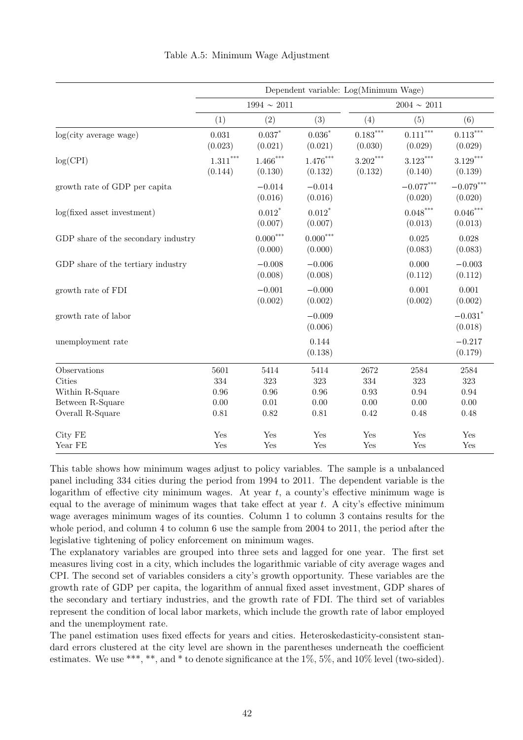<span id="page-41-0"></span>

| Dependent variable: Log(Minimum Wage) |                                                            |                                 |                                                     |                                     |                                   |
|---------------------------------------|------------------------------------------------------------|---------------------------------|-----------------------------------------------------|-------------------------------------|-----------------------------------|
|                                       |                                                            |                                 |                                                     | $2004\sim\,2011$                    |                                   |
| (1)                                   | (2)                                                        | (3)                             | (4)                                                 | (5)                                 | (6)                               |
| 0.031<br>(0.023)                      | $0.037*$<br>(0.021)                                        | $0.036^\ast$<br>(0.021)         | $0.183^{\ast\ast\ast}$<br>(0.030)                   | $0.111^{\ast\ast\ast}$<br>(0.029)   | $0.113^{\ast\ast\ast}$<br>(0.029) |
| $1.311^{\ast\ast\ast}$<br>(0.144)     | $1.466***$<br>(0.130)                                      | $1.476***$<br>(0.132)           | $\textbf{3.202}^{***}$<br>(0.132)                   | $3.123***$<br>(0.140)               | $3.129***$<br>(0.139)             |
|                                       | $-0.014$<br>(0.016)                                        | $-0.014$<br>(0.016)             |                                                     | $-0.077^{***}\,$<br>(0.020)         | $-0.079^{***}\,$<br>(0.020)       |
|                                       | $0.012$ <sup>*</sup><br>(0.007)                            | $0.012$ <sup>*</sup><br>(0.007) |                                                     | ${0.048}^{\ast\ast\ast}$<br>(0.013) | $0.046***$<br>(0.013)             |
|                                       | $0.000***$<br>(0.000)                                      | $0.000^{***}\,$<br>(0.000)      |                                                     | 0.025<br>(0.083)                    | 0.028<br>(0.083)                  |
|                                       | $-0.008$<br>(0.008)                                        | $-0.006$<br>(0.008)             |                                                     | 0.000<br>(0.112)                    | $-0.003$<br>(0.112)               |
|                                       | $-0.001$<br>(0.002)                                        | $-0.000$<br>(0.002)             |                                                     | 0.001<br>(0.002)                    | 0.001<br>(0.002)                  |
|                                       |                                                            | $-0.009$<br>(0.006)             |                                                     |                                     | $-0.031$ <sup>*</sup><br>(0.018)  |
|                                       |                                                            | 0.144<br>(0.138)                |                                                     |                                     | $-0.217$<br>(0.179)               |
| 5601                                  | 5414                                                       | 5414                            | 2672                                                | 2584                                | 2584                              |
| 334                                   | 323                                                        | 323                             | 334                                                 | $323\,$                             | 323                               |
|                                       | 0.96                                                       |                                 |                                                     | 0.94                                | 0.94                              |
|                                       |                                                            |                                 |                                                     |                                     | 0.00                              |
| 0.81                                  | 0.82                                                       |                                 | 0.42                                                | 0.48                                | 0.48                              |
| Yes                                   | Yes                                                        | Yes                             | Yes                                                 | Yes                                 | Yes<br>Yes                        |
|                                       | GDP share of the secondary industry<br>0.96<br>0.00<br>Yes | 0.01<br>Yes                     | $1994 \sim 2011$<br>$0.96\,$<br>0.00<br>0.81<br>Yes | 0.93<br>0.00<br>Yes                 | 0.00<br>Yes                       |

Table A.5: Minimum Wage Adjustment

This table shows how minimum wages adjust to policy variables. The sample is a unbalanced panel including 334 cities during the period from 1994 to 2011. The dependent variable is the logarithm of effective city minimum wages. At year  $t$ , a county's effective minimum wage is equal to the average of minimum wages that take effect at year  $t$ . A city's effective minimum wage averages minimum wages of its counties. Column 1 to column 3 contains results for the whole period, and column 4 to column 6 use the sample from 2004 to 2011, the period after the legislative tightening of policy enforcement on minimum wages.

The explanatory variables are grouped into three sets and lagged for one year. The first set measures living cost in a city, which includes the logarithmic variable of city average wages and CPI. The second set of variables considers a city's growth opportunity. These variables are the growth rate of GDP per capita, the logarithm of annual fixed asset investment, GDP shares of the secondary and tertiary industries, and the growth rate of FDI. The third set of variables represent the condition of local labor markets, which include the growth rate of labor employed and the unemployment rate.

The panel estimation uses fixed effects for years and cities. Heteroskedasticity-consistent standard errors clustered at the city level are shown in the parentheses underneath the coefficient estimates. We use \*\*\*, \*\*, and \* to denote significance at the 1%, 5%, and 10% level (two-sided).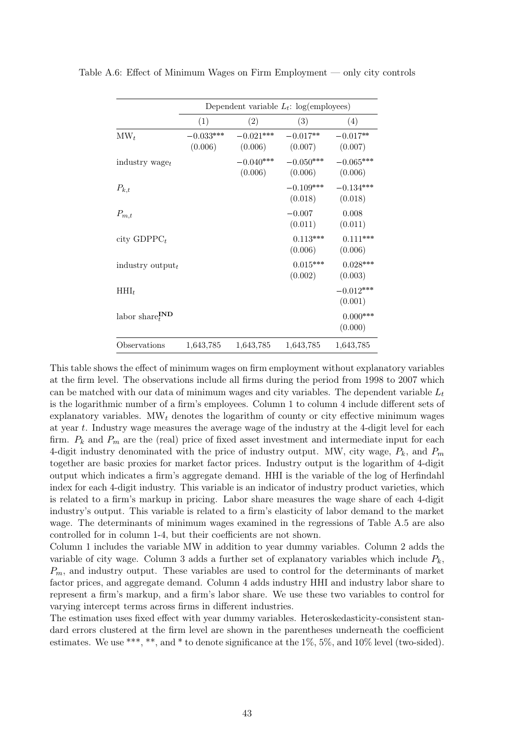|                                   |                        |                        | Dependent variable $L_t$ : log(employees) |                        |
|-----------------------------------|------------------------|------------------------|-------------------------------------------|------------------------|
|                                   | (1)                    | (2)                    | (3)                                       | (4)                    |
| $\text{MW}_t$                     | $-0.033***$<br>(0.006) | $-0.021***$<br>(0.006) | $-0.017**$<br>(0.007)                     | $-0.017**$<br>(0.007)  |
| industry $waget$                  |                        | $-0.040***$<br>(0.006) | $-0.050***$<br>(0.006)                    | $-0.065***$<br>(0.006) |
| $P_{k,t}$                         |                        |                        | $-0.109***$<br>(0.018)                    | $-0.134***$<br>(0.018) |
| $P_{m,t}$                         |                        |                        | $-0.007$<br>(0.011)                       | 0.008<br>(0.011)       |
| city $GDPPC_t$                    |                        |                        | $0.113***$<br>(0.006)                     | $0.111***$<br>(0.006)  |
| industry output $_t$              |                        |                        | $0.015***$<br>(0.002)                     | $0.028***$<br>(0.003)  |
| $HHI_t$                           |                        |                        |                                           | $-0.012***$<br>(0.001) |
| labor share ${}_{t}^{\text{IND}}$ |                        |                        |                                           | $0.000***$<br>(0.000)  |
| Observations                      | 1,643,785              | 1,643,785              | 1,643,785                                 | 1,643,785              |

<span id="page-42-0"></span>Table A.6: Effect of Minimum Wages on Firm Employment — only city controls

This table shows the effect of minimum wages on firm employment without explanatory variables at the firm level. The observations include all firms during the period from 1998 to 2007 which can be matched with our data of minimum wages and city variables. The dependent variable  $L_t$ is the logarithmic number of a firm's employees. Column 1 to column 4 include different sets of explanatory variables.  $\Delta \mathbf{W}_t$  denotes the logarithm of county or city effective minimum wages at year t. Industry wage measures the average wage of the industry at the 4-digit level for each firm.  $P_k$  and  $P_m$  are the (real) price of fixed asset investment and intermediate input for each 4-digit industry denominated with the price of industry output. MW, city wage,  $P_k$ , and  $P_m$ together are basic proxies for market factor prices. Industry output is the logarithm of 4-digit output which indicates a firm's aggregate demand. HHI is the variable of the log of Herfindahl index for each 4-digit industry. This variable is an indicator of industry product varieties, which is related to a firm's markup in pricing. Labor share measures the wage share of each 4-digit industry's output. This variable is related to a firm's elasticity of labor demand to the market wage. The determinants of minimum wages examined in the regressions of Table [A.5](#page-41-0) are also controlled for in column 1-4, but their coefficients are not shown.

Column 1 includes the variable MW in addition to year dummy variables. Column 2 adds the variable of city wage. Column 3 adds a further set of explanatory variables which include  $P_k$ ,  $P_m$ , and industry output. These variables are used to control for the determinants of market factor prices, and aggregate demand. Column 4 adds industry HHI and industry labor share to represent a firm's markup, and a firm's labor share. We use these two variables to control for varying intercept terms across firms in different industries.

The estimation uses fixed effect with year dummy variables. Heteroskedasticity-consistent standard errors clustered at the firm level are shown in the parentheses underneath the coefficient estimates. We use \*\*\*, \*\*, and \* to denote significance at the 1%, 5%, and 10% level (two-sided).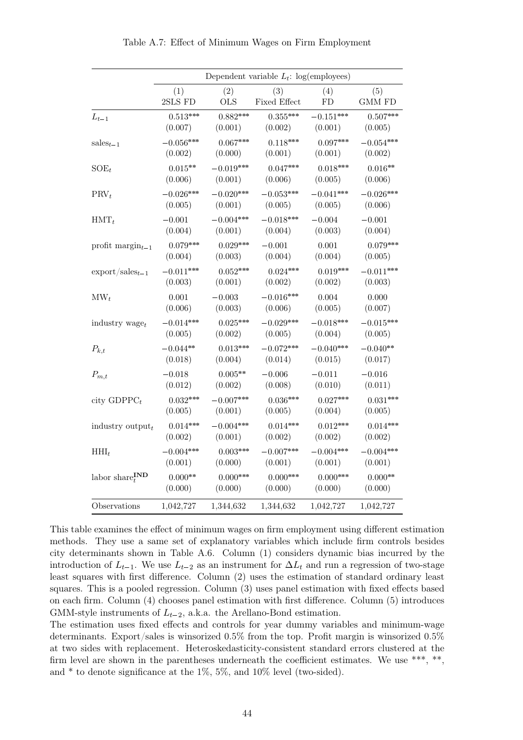<span id="page-43-0"></span>

|                                     | Dependent variable $L_t$ : log(employees) |             |              |             |               |  |
|-------------------------------------|-------------------------------------------|-------------|--------------|-------------|---------------|--|
|                                     | (1)                                       | (2)         | (3)          | (4)         | (5)           |  |
|                                     | 2SLS FD                                   | <b>OLS</b>  | Fixed Effect | FD          | <b>GMM FD</b> |  |
| $L_{t-1}$                           | $0.513***$                                | $0.882***$  | $0.355***$   | $-0.151***$ | $0.507***$    |  |
|                                     | (0.007)                                   | (0.001)     | (0.002)      | (0.001)     | (0.005)       |  |
| $sales_{t-1}$                       | $-0.056***$                               | $0.067***$  | $0.118***$   | $0.097***$  | $-0.054***$   |  |
|                                     | (0.002)                                   | (0.000)     | (0.001)      | (0.001)     | (0.002)       |  |
| $SOE_t$                             | $0.015**$                                 | $-0.019***$ | $0.047***$   | $0.018***$  | $0.016**$     |  |
|                                     | (0.006)                                   | (0.001)     | (0.006)      | (0.005)     | (0.006)       |  |
| $PRV_t$                             | $-0.026***$                               | $-0.020***$ | $-0.053***$  | $-0.041***$ | $-0.026***$   |  |
|                                     | (0.005)                                   | (0.001)     | (0.005)      | (0.005)     | (0.006)       |  |
| $HMT_t$                             | $-0.001$                                  | $-0.004***$ | $-0.018***$  | $-0.004$    | $-0.001$      |  |
|                                     | (0.004)                                   | (0.001)     | (0.004)      | (0.003)     | (0.004)       |  |
| profit $\text{margin}_{t-1}$        | $0.079***$                                | $0.029***$  | $-0.001$     | 0.001       | $0.079***$    |  |
|                                     | (0.004)                                   | (0.003)     | (0.004)      | (0.004)     | (0.005)       |  |
| $\export/sales_{t-1}$               | $-0.011***$                               | $0.052***$  | $0.024***$   | $0.019***$  | $-0.011***$   |  |
|                                     | (0.003)                                   | (0.001)     | (0.002)      | (0.002)     | (0.003)       |  |
| $\text{MW}_t$                       | 0.001                                     | $-0.003$    | $-0.016***$  | 0.004       | 0.000         |  |
|                                     | (0.006)                                   | (0.003)     | (0.006)      | (0.005)     | (0.007)       |  |
| industry $wage_t$                   | $-0.014***$                               | $0.025***$  | $-0.029***$  | $-0.018***$ | $-0.015***$   |  |
|                                     | (0.005)                                   | (0.002)     | (0.005)      | (0.004)     | (0.005)       |  |
| $P_{k,t}$                           | $-0.044**$                                | $0.013***$  | $-0.072***$  | $-0.040***$ | $-0.040**$    |  |
|                                     | (0.018)                                   | (0.004)     | (0.014)      | (0.015)     | (0.017)       |  |
| $P_{m,t}$                           | $-0.018$                                  | $0.005**$   | $-0.006$     | $-0.011$    | $-0.016$      |  |
|                                     | (0.012)                                   | (0.002)     | (0.008)      | (0.010)     | (0.011)       |  |
| city $GDPPC_t$                      | $0.032***$                                | $-0.007***$ | $0.036***$   | $0.027***$  | $0.031***$    |  |
|                                     | (0.005)                                   | (0.001)     | (0.005)      | (0.004)     | (0.005)       |  |
| industry $output_t$                 | $0.014***$                                | $-0.004***$ | $0.014***$   | $0.012***$  | $0.014***$    |  |
|                                     | (0.002)                                   | (0.001)     | (0.002)      | (0.002)     | (0.002)       |  |
| $HHI_t$                             | $-0.004***$                               | $0.003***$  | $-0.007***$  | $-0.004***$ | $-0.004***$   |  |
|                                     | (0.001)                                   | (0.000)     | (0.001)      | (0.001)     | (0.001)       |  |
| labor share ${}_{t}^{\mathbf{IND}}$ | $0.000**$                                 | $0.000***$  | $0.000***$   | $0.000***$  | $0.000**$     |  |
|                                     | (0.000)                                   | (0.000)     | (0.000)      | (0.000)     | (0.000)       |  |
| Observations                        | 1,042,727                                 | 1,344,632   | 1,344,632    | 1,042,727   | 1,042,727     |  |

Table A.7: Effect of Minimum Wages on Firm Employment

This table examines the effect of minimum wages on firm employment using different estimation methods. They use a same set of explanatory variables which include firm controls besides city determinants shown in Table [A.6.](#page-42-0) Column (1) considers dynamic bias incurred by the introduction of  $L_{t-1}$ . We use  $L_{t-2}$  as an instrument for  $\Delta L_t$  and run a regression of two-stage least squares with first difference. Column (2) uses the estimation of standard ordinary least squares. This is a pooled regression. Column (3) uses panel estimation with fixed effects based on each firm. Column (4) chooses panel estimation with first difference. Column (5) introduces GMM-style instruments of  $L_{t-2}$ , a.k.a. the Arellano-Bond estimation.

The estimation uses fixed effects and controls for year dummy variables and minimum-wage determinants. Export/sales is winsorized 0.5% from the top. Profit margin is winsorized 0.5% at two sides with replacement. Heteroskedasticity-consistent standard errors clustered at the firm level are shown in the parentheses underneath the coefficient estimates. We use \*\*\*, \*\*, and \* to denote significance at the 1%, 5%, and 10% level (two-sided).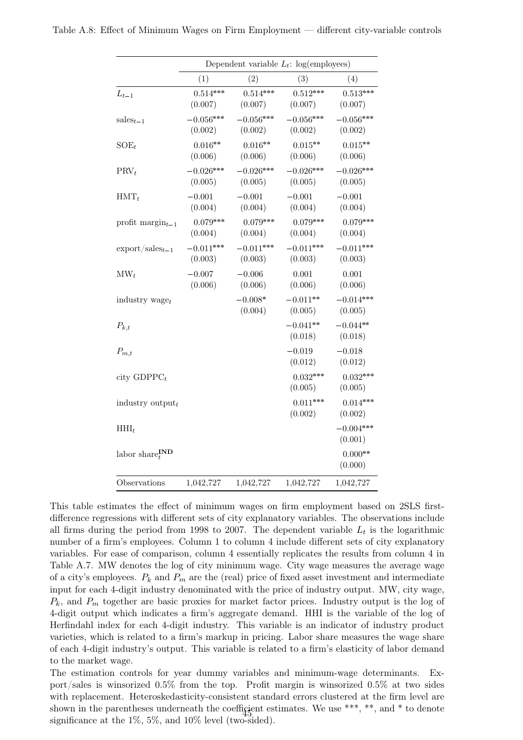<span id="page-44-0"></span>

|                                   |                        | Dependent variable $L_t$ : log(employees) |                        |                        |
|-----------------------------------|------------------------|-------------------------------------------|------------------------|------------------------|
|                                   | (1)                    | (2)                                       | (3)                    | (4)                    |
| $L_{t-1}$                         | $0.514***$<br>(0.007)  | $0.514***$<br>(0.007)                     | $0.512***$<br>(0.007)  | $0.513***$<br>(0.007)  |
| $sales_{t-1}$                     | $-0.056***$<br>(0.002) | $-0.056***$<br>(0.002)                    | $-0.056***$<br>(0.002) | $-0.056***$<br>(0.002) |
| $SOE_t$                           | $0.016**$<br>(0.006)   | $0.016**$<br>(0.006)                      | $0.015**$<br>(0.006)   | $0.015**$<br>(0.006)   |
| $PRV_t$                           | $-0.026***$<br>(0.005) | $-0.026***$<br>(0.005)                    | $-0.026***$<br>(0.005) | $-0.026***$<br>(0.005) |
| $HMT_t$                           | $-0.001$<br>(0.004)    | $-0.001$<br>(0.004)                       | $-0.001$<br>(0.004)    | $-0.001$<br>(0.004)    |
| profit $\text{margin}_{t-1}$      | $0.079***$<br>(0.004)  | $0.079***$<br>(0.004)                     | $0.079***$<br>(0.004)  | $0.079***$<br>(0.004)  |
| $\export/sales_{t-1}$             | $-0.011***$<br>(0.003) | $-0.011***$<br>(0.003)                    | $-0.011***$<br>(0.003) | $-0.011***$<br>(0.003) |
| $\text{MW}_t$                     | $-0.007$<br>(0.006)    | $-0.006$<br>(0.006)                       | 0.001<br>(0.006)       | 0.001<br>(0.006)       |
| industry $wage_t$                 |                        | $-0.008*$<br>(0.004)                      | $-0.011**$<br>(0.005)  | $-0.014***$<br>(0.005) |
| $P_{k,t}$                         |                        |                                           | $-0.041**$<br>(0.018)  | $-0.044**$<br>(0.018)  |
| $P_{m,t}$                         |                        |                                           | $-0.019$<br>(0.012)    | $-0.018$<br>(0.012)    |
| city $GDPPC_t$                    |                        |                                           | $0.032***$<br>(0.005)  | $0.032***$<br>(0.005)  |
| industry $output_t$               |                        |                                           | $0.011***$<br>(0.002)  | $0.014***$<br>(0.002)  |
| $HHI_t$                           |                        |                                           |                        | $-0.004***$<br>(0.001) |
| labor share ${}_{t}^{\text{IND}}$ |                        |                                           |                        | $0.000**$<br>(0.000)   |
| Observations                      | 1,042,727              | 1,042,727                                 | 1,042,727              | 1,042,727              |

This table estimates the effect of minimum wages on firm employment based on 2SLS firstdifference regressions with different sets of city explanatory variables. The observations include all firms during the period from 1998 to 2007. The dependent variable  $L_t$  is the logarithmic number of a firm's employees. Column 1 to column 4 include different sets of city explanatory variables. For ease of comparison, column 4 essentially replicates the results from column 4 in Table [A.7.](#page-43-0) MW denotes the log of city minimum wage. City wage measures the average wage of a city's employees.  $P_k$  and  $P_m$  are the (real) price of fixed asset investment and intermediate input for each 4-digit industry denominated with the price of industry output. MW, city wage,  $P_k$ , and  $P_m$  together are basic proxies for market factor prices. Industry output is the log of 4-digit output which indicates a firm's aggregate demand. HHI is the variable of the log of Herfindahl index for each 4-digit industry. This variable is an indicator of industry product varieties, which is related to a firm's markup in pricing. Labor share measures the wage share of each 4-digit industry's output. This variable is related to a firm's elasticity of labor demand to the market wage.

The estimation controls for year dummy variables and minimum-wage determinants. Export/sales is winsorized 0.5% from the top. Profit margin is winsorized 0.5% at two sides with replacement. Heteroskedasticity-consistent standard errors clustered at the firm level are shown in the parentheses underneath the coefficient estimates. We use \*\*\*, \*\*, and \* to denote significance at the  $1\%$ ,  $5\%$ , and  $10\%$  level (two-sided).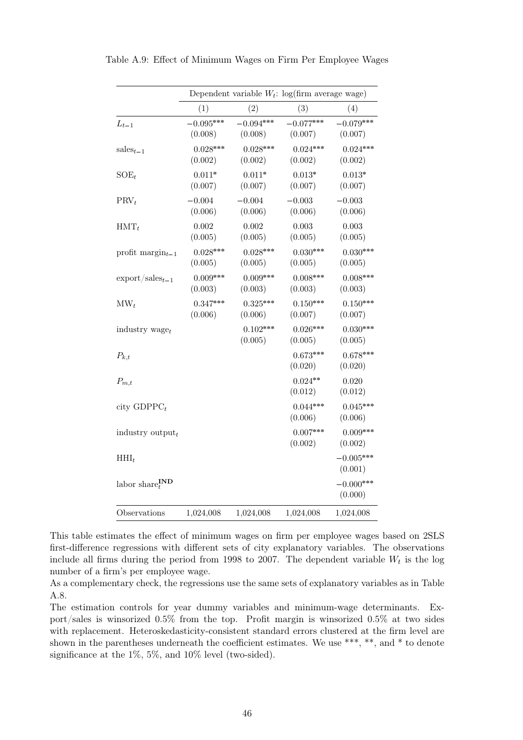|                                     |                        | Dependent variable $W_t$ : log(firm average wage) |                        |                        |
|-------------------------------------|------------------------|---------------------------------------------------|------------------------|------------------------|
|                                     | (1)                    | (2)                                               | (3)                    | (4)                    |
| $L_{t-1}$                           | $-0.095***$<br>(0.008) | $-0.094***$<br>(0.008)                            | $-0.077***$<br>(0.007) | $-0.079***$<br>(0.007) |
| $sales_{t-1}$                       | $0.028***$<br>(0.002)  | $0.028***$<br>(0.002)                             | $0.024***$<br>(0.002)  | $0.024***$<br>(0.002)  |
| $SOE_t$                             | $0.011*$<br>(0.007)    | $0.011*$<br>(0.007)                               | $0.013*$<br>(0.007)    | $0.013*$<br>(0.007)    |
| $PRV_t$                             | $-0.004$<br>(0.006)    | $-0.004$<br>(0.006)                               | $-0.003$<br>(0.006)    | $-0.003$<br>(0.006)    |
| $HMT_t$                             | 0.002<br>(0.005)       | 0.002<br>(0.005)                                  | 0.003<br>(0.005)       | 0.003<br>(0.005)       |
| profit $\text{margin}_{t-1}$        | $0.028***$<br>(0.005)  | $0.028***$<br>(0.005)                             | $0.030***$<br>(0.005)  | $0.030***$<br>(0.005)  |
| $\export/sales_{t-1}$               | $0.009***$<br>(0.003)  | $0.009***$<br>(0.003)                             | $0.008***$<br>(0.003)  | $0.008***$<br>(0.003)  |
| $\text{MW}_t$                       | $0.347***$<br>(0.006)  | $0.325***$<br>(0.006)                             | $0.150***$<br>(0.007)  | $0.150***$<br>(0.007)  |
| industry $waget$                    |                        | $0.102***$<br>(0.005)                             | $0.026***$<br>(0.005)  | $0.030***$<br>(0.005)  |
| $P_{k,t}$                           |                        |                                                   | $0.673***$<br>(0.020)  | $0.678***$<br>(0.020)  |
| $P_{m,t}$                           |                        |                                                   | $0.024**$<br>(0.012)   | 0.020<br>(0.012)       |
| city $GDPPC_t$                      |                        |                                                   | $0.044***$<br>(0.006)  | $0.045***$<br>(0.006)  |
| industry $output_t$                 |                        |                                                   | $0.007***$<br>(0.002)  | $0.009***$<br>(0.002)  |
| $HHI_t$                             |                        |                                                   |                        | $-0.005***$<br>(0.001) |
| labor share ${}_{t}^{\textbf{IND}}$ |                        |                                                   |                        | $-0.000***$<br>(0.000) |
| Observations                        | 1,024,008              | 1,024,008                                         | 1,024,008              | 1,024,008              |

<span id="page-45-0"></span>Table A.9: Effect of Minimum Wages on Firm Per Employee Wages

This table estimates the effect of minimum wages on firm per employee wages based on 2SLS first-difference regressions with different sets of city explanatory variables. The observations include all firms during the period from 1998 to 2007. The dependent variable  $W_t$  is the log number of a firm's per employee wage.

As a complementary check, the regressions use the same sets of explanatory variables as in Table [A.8.](#page-44-0)

The estimation controls for year dummy variables and minimum-wage determinants. Export/sales is winsorized 0.5% from the top. Profit margin is winsorized 0.5% at two sides with replacement. Heteroskedasticity-consistent standard errors clustered at the firm level are shown in the parentheses underneath the coefficient estimates. We use \*\*\*, \*\*, and \* to denote significance at the 1%, 5%, and 10% level (two-sided).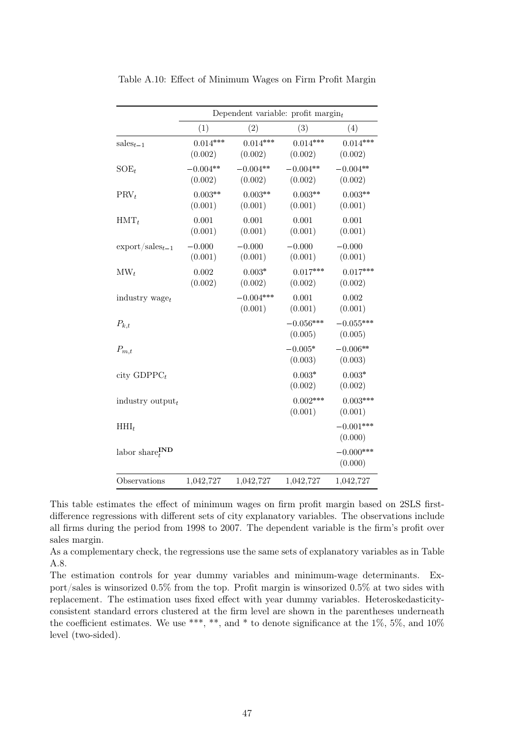|                                  | Dependent variable: profit $\text{margin}_t$ |                        |                        |                        |  |
|----------------------------------|----------------------------------------------|------------------------|------------------------|------------------------|--|
|                                  | (1)                                          | (2)                    | (3)                    | (4)                    |  |
| $sales_{t-1}$                    | $0.014***$<br>(0.002)                        | $0.014***$<br>(0.002)  | $0.014***$<br>(0.002)  | $0.014***$<br>(0.002)  |  |
| $SOE_t$                          | $-0.004**$<br>(0.002)                        | $-0.004**$<br>(0.002)  | $-0.004**$<br>(0.002)  | $-0.004**$<br>(0.002)  |  |
| $PRV_t$                          | $0.003**$<br>(0.001)                         | $0.003**$<br>(0.001)   | $0.003**$<br>(0.001)   | $0.003**$<br>(0.001)   |  |
| $HMT_t$                          | 0.001<br>(0.001)                             | 0.001<br>(0.001)       | 0.001<br>(0.001)       | 0.001<br>(0.001)       |  |
| $\export/sales_{t-1}$            | $-0.000$<br>(0.001)                          | $-0.000$<br>(0.001)    | $-0.000$<br>(0.001)    | $-0.000$<br>(0.001)    |  |
| $\text{MW}_t$                    | 0.002<br>(0.002)                             | $0.003*$<br>(0.002)    | $0.017***$<br>(0.002)  | $0.017***$<br>(0.002)  |  |
| industry $wage_t$                |                                              | $-0.004***$<br>(0.001) | 0.001<br>(0.001)       | 0.002<br>(0.001)       |  |
| $P_{k,t}$                        |                                              |                        | $-0.056***$<br>(0.005) | $-0.055***$<br>(0.005) |  |
| $P_{m,t}$                        |                                              |                        | $-0.005*$<br>(0.003)   | $-0.006**$<br>(0.003)  |  |
| city $GDPPC_t$                   |                                              |                        | $0.003*$<br>(0.002)    | $0.003*$<br>(0.002)    |  |
| industry output $_t$             |                                              |                        | $0.002***$<br>(0.001)  | $0.003***$<br>(0.001)  |  |
| $HHI_t$                          |                                              |                        |                        | $-0.001***$<br>(0.000) |  |
| labor share $I_{t}^{\text{IND}}$ |                                              |                        |                        | $-0.000***$<br>(0.000) |  |
| Observations                     | 1,042,727                                    | 1,042,727              | 1,042,727              | 1,042,727              |  |

<span id="page-46-0"></span>Table A.10: Effect of Minimum Wages on Firm Profit Margin

This table estimates the effect of minimum wages on firm profit margin based on 2SLS firstdifference regressions with different sets of city explanatory variables. The observations include all firms during the period from 1998 to 2007. The dependent variable is the firm's profit over sales margin.

As a complementary check, the regressions use the same sets of explanatory variables as in Table [A.8.](#page-44-0)

The estimation controls for year dummy variables and minimum-wage determinants. Export/sales is winsorized 0.5% from the top. Profit margin is winsorized 0.5% at two sides with replacement. The estimation uses fixed effect with year dummy variables. Heteroskedasticityconsistent standard errors clustered at the firm level are shown in the parentheses underneath the coefficient estimates. We use \*\*\*, \*\*, and \* to denote significance at the 1%, 5%, and 10% level (two-sided).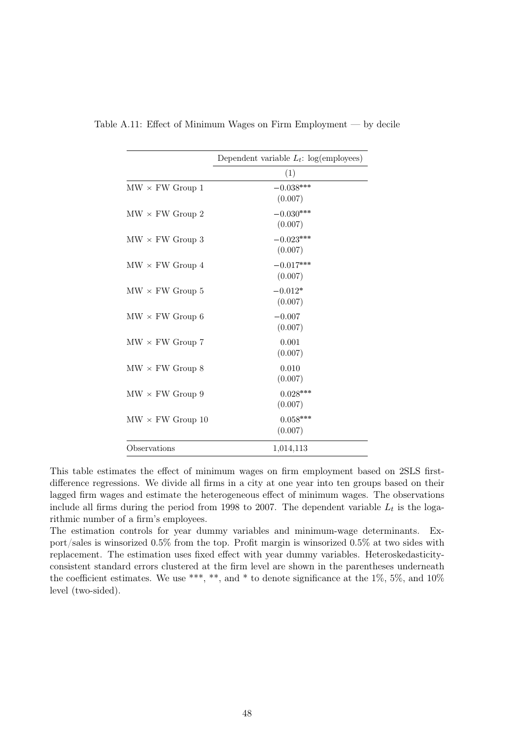|                         | Dependent variable $L_t$ : log(employees) |
|-------------------------|-------------------------------------------|
|                         | (1)                                       |
| $MW \times FW$ Group 1  | $-0.038***$<br>(0.007)                    |
| $MW \times FW$ Group 2  | $-0.030***$<br>(0.007)                    |
| $MW \times FW$ Group 3  | $-0.023***$<br>(0.007)                    |
| $MW \times FW$ Group 4  | $-0.017***$<br>(0.007)                    |
| $MW \times FW$ Group 5  | $-0.012*$<br>(0.007)                      |
| $MW \times FW$ Group 6  | $-0.007$<br>(0.007)                       |
| $MW \times FW$ Group 7  | 0.001<br>(0.007)                          |
| $MW \times FW$ Group 8  | 0.010<br>(0.007)                          |
| $MW \times FW$ Group 9  | $0.028***$<br>(0.007)                     |
| $MW \times FW$ Group 10 | $0.058***$<br>(0.007)                     |
| Observations            | 1,014,113                                 |

<span id="page-47-0"></span>Table A.11: Effect of Minimum Wages on Firm Employment — by decile

This table estimates the effect of minimum wages on firm employment based on 2SLS firstdifference regressions. We divide all firms in a city at one year into ten groups based on their lagged firm wages and estimate the heterogeneous effect of minimum wages. The observations include all firms during the period from 1998 to 2007. The dependent variable  $L_t$  is the logarithmic number of a firm's employees.

The estimation controls for year dummy variables and minimum-wage determinants. Export/sales is winsorized 0.5% from the top. Profit margin is winsorized 0.5% at two sides with replacement. The estimation uses fixed effect with year dummy variables. Heteroskedasticityconsistent standard errors clustered at the firm level are shown in the parentheses underneath the coefficient estimates. We use \*\*\*, \*\*, and \* to denote significance at the 1%, 5%, and 10% level (two-sided).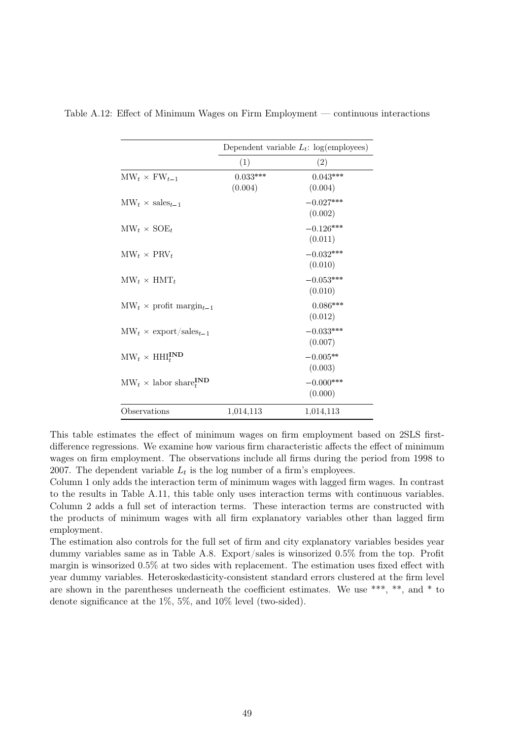|                                                        | Dependent variable $L_t$ : log(employees) |             |  |
|--------------------------------------------------------|-------------------------------------------|-------------|--|
|                                                        | (1)                                       | (2)         |  |
| $\text{MW}_t \times \text{FW}_{t-1}$                   | $0.033***$                                | $0.043***$  |  |
|                                                        | (0.004)                                   | (0.004)     |  |
| $\text{MW}_t \times \text{sales}_{t-1}$                |                                           | $-0.027***$ |  |
|                                                        |                                           | (0.002)     |  |
| $\text{MW}_t \times \text{SOE}_t$                      |                                           | $-0.126***$ |  |
|                                                        |                                           | (0.011)     |  |
| $\text{MW}_t \times \text{PRV}_t$                      |                                           | $-0.032***$ |  |
|                                                        |                                           | (0.010)     |  |
| $\text{MW}_t \times \text{HMT}_t$                      |                                           | $-0.053***$ |  |
|                                                        |                                           | (0.010)     |  |
| $\text{MW}_t \times \text{profit margin}_{t-1}$        |                                           | $0.086***$  |  |
|                                                        |                                           | (0.012)     |  |
| $\text{MW}_t \times \text{export/sales}_{t-1}$         |                                           | $-0.033***$ |  |
|                                                        |                                           | (0.007)     |  |
| $\text{MW}_t \times \text{HHI}_t^{\textbf{IND}}$       |                                           | $-0.005**$  |  |
|                                                        |                                           | (0.003)     |  |
| $\text{MW}_t \times \text{labor share}_t^{\text{IND}}$ |                                           | $-0.000***$ |  |
|                                                        |                                           | (0.000)     |  |
| Observations                                           | 1,014,113                                 | 1,014,113   |  |

<span id="page-48-0"></span>Table A.12: Effect of Minimum Wages on Firm Employment — continuous interactions

This table estimates the effect of minimum wages on firm employment based on 2SLS firstdifference regressions. We examine how various firm characteristic affects the effect of minimum wages on firm employment. The observations include all firms during the period from 1998 to 2007. The dependent variable  $L_t$  is the log number of a firm's employees.

Column 1 only adds the interaction term of minimum wages with lagged firm wages. In contrast to the results in Table [A.11,](#page-47-0) this table only uses interaction terms with continuous variables. Column 2 adds a full set of interaction terms. These interaction terms are constructed with the products of minimum wages with all firm explanatory variables other than lagged firm employment.

The estimation also controls for the full set of firm and city explanatory variables besides year dummy variables same as in Table [A.8.](#page-44-0) Export/sales is winsorized 0.5% from the top. Profit margin is winsorized 0.5% at two sides with replacement. The estimation uses fixed effect with year dummy variables. Heteroskedasticity-consistent standard errors clustered at the firm level are shown in the parentheses underneath the coefficient estimates. We use \*\*\*, \*\*, and \* to denote significance at the 1%, 5%, and 10% level (two-sided).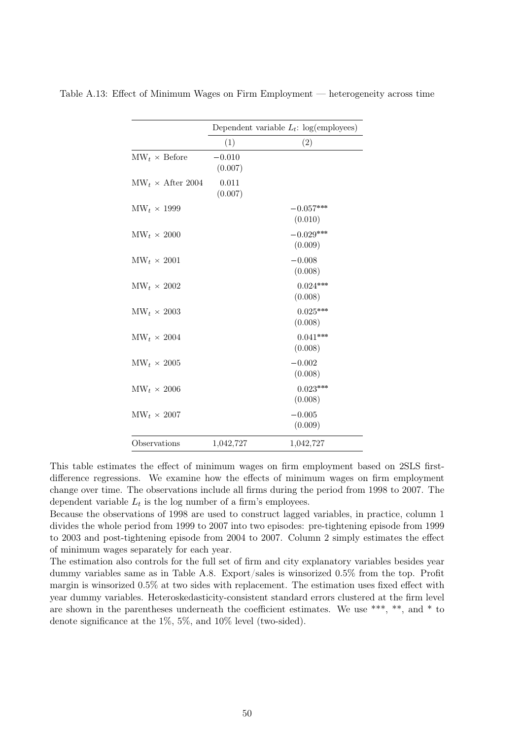|                                         | Dependent variable $L_t$ : log(employees) |                        |  |
|-----------------------------------------|-------------------------------------------|------------------------|--|
|                                         | (1)                                       | (2)                    |  |
| $\text{MW}_t \times \text{Before}$      | $-0.010$<br>(0.007)                       |                        |  |
| $\text{MW}_t \times \text{After } 2004$ | 0.011<br>(0.007)                          |                        |  |
| $\text{MW}_t \times 1999$               |                                           | $-0.057***$<br>(0.010) |  |
| $\text{MW}_t \times 2000$               |                                           | $-0.029***$<br>(0.009) |  |
| $\text{MW}_t \times 2001$               |                                           | $-0.008$<br>(0.008)    |  |
| $\text{MW}_t \times 2002$               |                                           | $0.024***$<br>(0.008)  |  |
| $\text{MW}_t \times 2003$               |                                           | $0.025***$<br>(0.008)  |  |
| $\text{MW}_t \times 2004$               |                                           | $0.041***$<br>(0.008)  |  |
| $\text{MW}_t \times 2005$               |                                           | $-0.002$<br>(0.008)    |  |
| $\text{MW}_t \times 2006$               |                                           | $0.023***$<br>(0.008)  |  |
| $\text{MW}_t \times 2007$               |                                           | $-0.005$<br>(0.009)    |  |
| Observations                            | 1,042,727                                 | 1,042,727              |  |

<span id="page-49-0"></span>Table A.13: Effect of Minimum Wages on Firm Employment — heterogeneity across time

This table estimates the effect of minimum wages on firm employment based on 2SLS firstdifference regressions. We examine how the effects of minimum wages on firm employment change over time. The observations include all firms during the period from 1998 to 2007. The dependent variable  $L_t$  is the log number of a firm's employees.

Because the observations of 1998 are used to construct lagged variables, in practice, column 1 divides the whole period from 1999 to 2007 into two episodes: pre-tightening episode from 1999 to 2003 and post-tightening episode from 2004 to 2007. Column 2 simply estimates the effect of minimum wages separately for each year.

The estimation also controls for the full set of firm and city explanatory variables besides year dummy variables same as in Table [A.8.](#page-44-0) Export/sales is winsorized 0.5% from the top. Profit margin is winsorized 0.5% at two sides with replacement. The estimation uses fixed effect with year dummy variables. Heteroskedasticity-consistent standard errors clustered at the firm level are shown in the parentheses underneath the coefficient estimates. We use \*\*\*, \*\*, and \* to denote significance at the 1%, 5%, and 10% level (two-sided).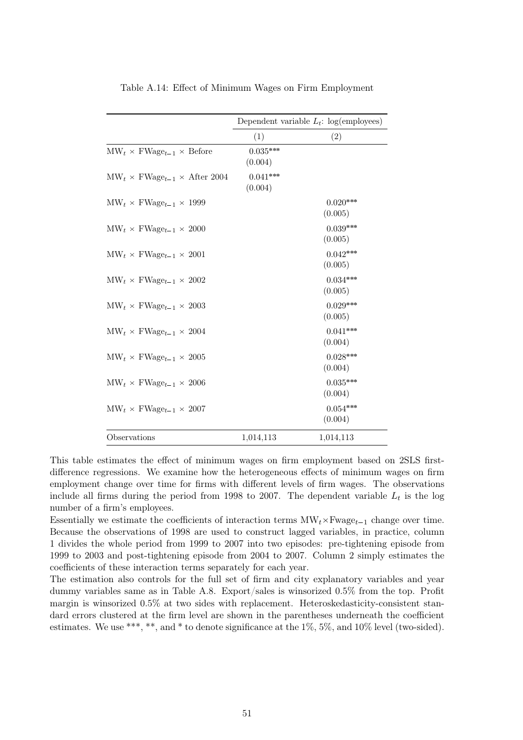<span id="page-50-0"></span>

|                                                                     | Dependent variable $L_t$ : log(employees) |                       |  |
|---------------------------------------------------------------------|-------------------------------------------|-----------------------|--|
|                                                                     | (1)                                       | (2)                   |  |
| $\text{MW}_t \times \text{FWage}_{t-1} \times \text{Before}$        | $0.035***$<br>(0.004)                     |                       |  |
| $\text{MW}_{t} \times \text{FWage}_{t-1} \times \text{After } 2004$ | $0.041***$<br>(0.004)                     |                       |  |
| $\text{MW}_t \times \text{FWage}_{t-1} \times 1999$                 |                                           | $0.020***$<br>(0.005) |  |
| $\text{MW}_{t} \times \text{FWage}_{t-1} \times 2000$               |                                           | $0.039***$<br>(0.005) |  |
| $\text{MW}_t \times \text{FWage}_{t-1} \times 2001$                 |                                           | $0.042***$<br>(0.005) |  |
| $\text{MW}_t \times \text{FWage}_{t-1} \times 2002$                 |                                           | $0.034***$<br>(0.005) |  |
| $\text{MW}_t \times \text{FWage}_{t-1} \times 2003$                 |                                           | $0.029***$<br>(0.005) |  |
| $\text{MW}_t \times \text{FWage}_{t-1} \times 2004$                 |                                           | $0.041***$<br>(0.004) |  |
| $\text{MW}_t \times \text{FWage}_{t-1} \times 2005$                 |                                           | $0.028***$<br>(0.004) |  |
| $\text{MW}_{t} \times \text{FWage}_{t-1} \times 2006$               |                                           | $0.035***$<br>(0.004) |  |
| $\text{MW}_t \times \text{FWage}_{t-1} \times 2007$                 |                                           | $0.054***$<br>(0.004) |  |
| Observations                                                        | 1,014,113                                 | 1,014,113             |  |

Table A.14: Effect of Minimum Wages on Firm Employment

This table estimates the effect of minimum wages on firm employment based on 2SLS firstdifference regressions. We examine how the heterogeneous effects of minimum wages on firm employment change over time for firms with different levels of firm wages. The observations include all firms during the period from 1998 to 2007. The dependent variable  $L_t$  is the log number of a firm's employees.

Essentially we estimate the coefficients of interaction terms  $MW_t \times Fwage_{t-1}$  change over time. Because the observations of 1998 are used to construct lagged variables, in practice, column 1 divides the whole period from 1999 to 2007 into two episodes: pre-tightening episode from 1999 to 2003 and post-tightening episode from 2004 to 2007. Column 2 simply estimates the coefficients of these interaction terms separately for each year.

The estimation also controls for the full set of firm and city explanatory variables and year dummy variables same as in Table [A.8.](#page-44-0) Export/sales is winsorized 0.5% from the top. Profit margin is winsorized 0.5% at two sides with replacement. Heteroskedasticity-consistent standard errors clustered at the firm level are shown in the parentheses underneath the coefficient estimates. We use \*\*\*, \*\*, and \* to denote significance at the 1%, 5%, and 10% level (two-sided).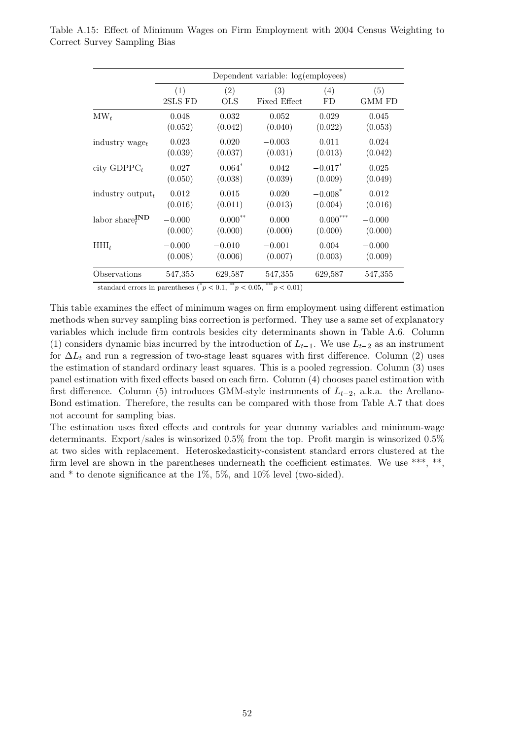|                                         | Dependent variable: log(employees) |                      |                     |                       |               |
|-----------------------------------------|------------------------------------|----------------------|---------------------|-----------------------|---------------|
|                                         | (1)                                | (2)                  | (3)                 | (4)                   | (5)           |
|                                         | 2SLS FD                            | <b>OLS</b>           | <b>Fixed Effect</b> | FD                    | <b>GMM FD</b> |
| $\text{MW}_t$                           | 0.048                              | 0.032                | 0.052               | 0.029                 | 0.045         |
|                                         | (0.052)                            | (0.042)              | (0.040)             | (0.022)               | (0.053)       |
| industry wage $_t$                      | 0.023                              | 0.020                | $-0.003$            | 0.011                 | 0.024         |
|                                         | (0.039)                            | (0.037)              | (0.031)             | (0.013)               | (0.042)       |
| city $GDPPC_t$                          | 0.027                              | $0.064$ <sup>*</sup> | 0.042               | $-0.017$ <sup>*</sup> | 0.025         |
|                                         | (0.050)                            | (0.038)              | (0.039)             | (0.009)               | (0.049)       |
| industry output $_t$                    | 0.012                              | 0.015                | 0.020               | $-0.008*$             | 0.012         |
|                                         | (0.016)                            | (0.011)              | (0.013)             | (0.004)               | (0.016)       |
| labor $\mathrm{share}^{\textbf{IND}}_t$ | $-0.000$                           | $0.000^{**}$         | 0.000               | $0.000^{***}\,$       | $-0.000$      |
|                                         | (0.000)                            | (0.000)              | (0.000)             | (0.000)               | (0.000)       |
| $HHI_t$                                 | $-0.000$                           | $-0.010$             | $-0.001$            | 0.004                 | $-0.000$      |
|                                         | (0.008)                            | (0.006)              | (0.007)             | (0.003)               | (0.009)       |
| Observations                            | 547,355                            | 629,587              | 547,355             | 629,587               | 547,355       |

<span id="page-51-0"></span>Table A.15: Effect of Minimum Wages on Firm Employment with 2004 Census Weighting to Correct Survey Sampling Bias

standard errors in parentheses  $({}^*p < 0.1, {}^{**}p < 0.05, {}^{***}p < 0.01)$ 

This table examines the effect of minimum wages on firm employment using different estimation methods when survey sampling bias correction is performed. They use a same set of explanatory variables which include firm controls besides city determinants shown in Table [A.6.](#page-42-0) Column (1) considers dynamic bias incurred by the introduction of  $L_{t-1}$ . We use  $L_{t-2}$  as an instrument for  $\Delta L_t$  and run a regression of two-stage least squares with first difference. Column (2) uses the estimation of standard ordinary least squares. This is a pooled regression. Column (3) uses panel estimation with fixed effects based on each firm. Column (4) chooses panel estimation with first difference. Column (5) introduces GMM-style instruments of  $L_{t-2}$ , a.k.a. the Arellano-Bond estimation. Therefore, the results can be compared with those from Table [A.7](#page-43-0) that does not account for sampling bias.

The estimation uses fixed effects and controls for year dummy variables and minimum-wage determinants. Export/sales is winsorized 0.5% from the top. Profit margin is winsorized 0.5% at two sides with replacement. Heteroskedasticity-consistent standard errors clustered at the firm level are shown in the parentheses underneath the coefficient estimates. We use \*\*\*, \*\*, and  $*$  to denote significance at the 1%, 5%, and 10% level (two-sided).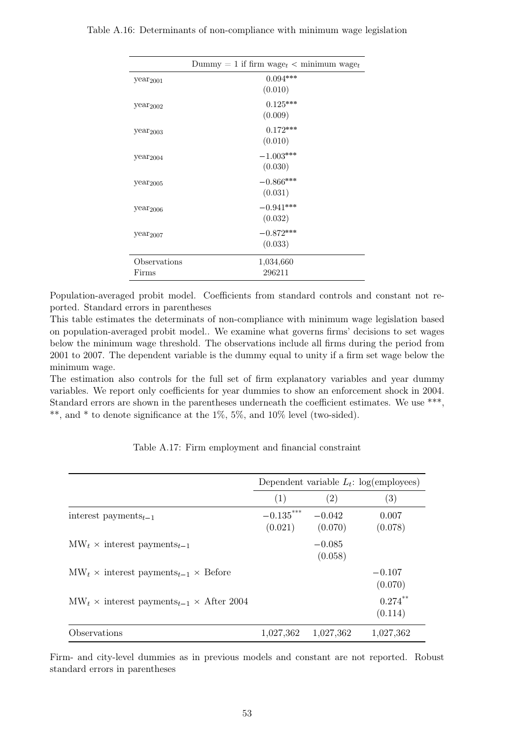|                      | Dummy = 1 if firm wage <sub>t</sub> < minimum wage <sub>t</sub> |
|----------------------|-----------------------------------------------------------------|
| year <sub>2001</sub> | $0.094***$                                                      |
|                      | (0.010)                                                         |
| year <sub>2002</sub> | $0.125***$                                                      |
|                      | (0.009)                                                         |
| year <sub>2003</sub> | $0.172***$                                                      |
|                      | (0.010)                                                         |
| year <sub>2004</sub> | $-1.003***$                                                     |
|                      | (0.030)                                                         |
| year <sub>2005</sub> | $-0.866***$                                                     |
|                      | (0.031)                                                         |
| year <sub>2006</sub> | $-0.941***$                                                     |
|                      | (0.032)                                                         |
| year <sub>2007</sub> | $-0.872***$                                                     |
|                      | (0.033)                                                         |
| Observations         | 1,034,660                                                       |
| Firms                | 296211                                                          |

<span id="page-52-0"></span>Table A.16: Determinants of non-compliance with minimum wage legislation

Population-averaged probit model. Coefficients from standard controls and constant not reported. Standard errors in parentheses

This table estimates the determinats of non-compliance with minimum wage legislation based on population-averaged probit model.. We examine what governs firms' decisions to set wages below the minimum wage threshold. The observations include all firms during the period from 2001 to 2007. The dependent variable is the dummy equal to unity if a firm set wage below the minimum wage.

The estimation also controls for the full set of firm explanatory variables and year dummy variables. We report only coefficients for year dummies to show an enforcement shock in 2004. Standard errors are shown in the parentheses underneath the coefficient estimates. We use \*\*\*, \*\*, and \* to denote significance at the 1%, 5%, and 10% level (two-sided).

<span id="page-52-1"></span>

|                                                               | Dependent variable $L_t$ : log(employees) |                     |                       |
|---------------------------------------------------------------|-------------------------------------------|---------------------|-----------------------|
|                                                               | (1)                                       | (2)                 | $\left( 3\right)$     |
| interest payments $_{t-1}$                                    | $-0.135***$<br>(0.021)                    | $-0.042$<br>(0.070) | 0.007<br>(0.078)      |
| $\text{MW}_t$ × interest payments <sub>t-1</sub>              |                                           | $-0.085$<br>(0.058) |                       |
| $\text{MW}_t$ × interest payments <sub>t-1</sub> × Before     |                                           |                     | $-0.107$<br>(0.070)   |
| $\text{MW}_t$ × interest payments <sub>t-1</sub> × After 2004 |                                           |                     | $0.274***$<br>(0.114) |
| Observations                                                  | 1,027,362                                 | 1,027,362           | 1,027,362             |

Table A.17: Firm employment and financial constraint

Firm- and city-level dummies as in previous models and constant are not reported. Robust standard errors in parentheses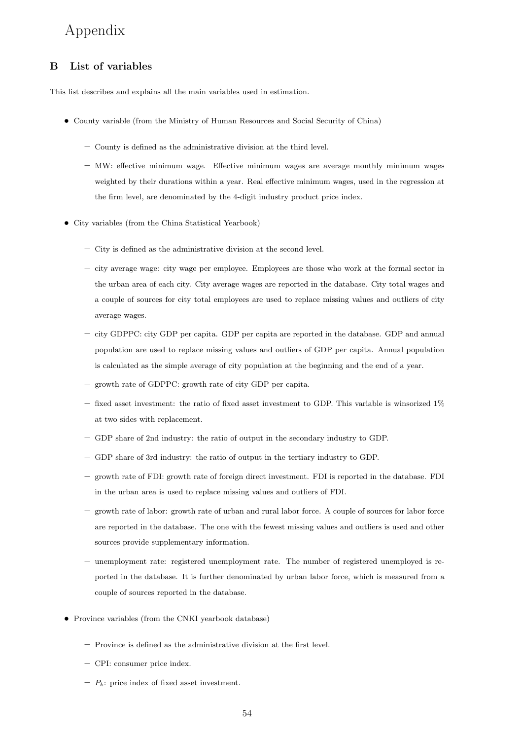# <span id="page-53-0"></span>Appendix

# B List of variables

This list describes and explains all the main variables used in estimation.

- County variable (from the Ministry of Human Resources and Social Security of China)
	- County is defined as the administrative division at the third level.
	- MW: effective minimum wage. Effective minimum wages are average monthly minimum wages weighted by their durations within a year. Real effective minimum wages, used in the regression at the firm level, are denominated by the 4-digit industry product price index.
- City variables (from the China Statistical Yearbook)
	- City is defined as the administrative division at the second level.
	- city average wage: city wage per employee. Employees are those who work at the formal sector in the urban area of each city. City average wages are reported in the database. City total wages and a couple of sources for city total employees are used to replace missing values and outliers of city average wages.
	- city GDPPC: city GDP per capita. GDP per capita are reported in the database. GDP and annual population are used to replace missing values and outliers of GDP per capita. Annual population is calculated as the simple average of city population at the beginning and the end of a year.
	- growth rate of GDPPC: growth rate of city GDP per capita.
	- $-$  fixed asset investment: the ratio of fixed asset investment to GDP. This variable is winsorized  $1\%$ at two sides with replacement.
	- GDP share of 2nd industry: the ratio of output in the secondary industry to GDP.
	- GDP share of 3rd industry: the ratio of output in the tertiary industry to GDP.
	- growth rate of FDI: growth rate of foreign direct investment. FDI is reported in the database. FDI in the urban area is used to replace missing values and outliers of FDI.
	- growth rate of labor: growth rate of urban and rural labor force. A couple of sources for labor force are reported in the database. The one with the fewest missing values and outliers is used and other sources provide supplementary information.
	- unemployment rate: registered unemployment rate. The number of registered unemployed is reported in the database. It is further denominated by urban labor force, which is measured from a couple of sources reported in the database.
- Province variables (from the CNKI yearbook database)
	- Province is defined as the administrative division at the first level.
	- CPI: consumer price index.
	- $-P_k$ : price index of fixed asset investment.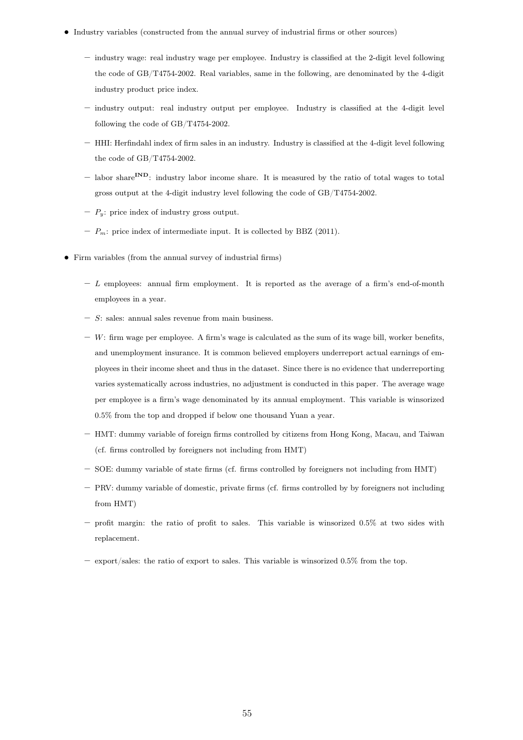- Industry variables (constructed from the annual survey of industrial firms or other sources)
	- industry wage: real industry wage per employee. Industry is classified at the 2-digit level following the code of GB/T4754-2002. Real variables, same in the following, are denominated by the 4-digit industry product price index.
	- industry output: real industry output per employee. Industry is classified at the 4-digit level following the code of GB/T4754-2002.
	- HHI: Herfindahl index of firm sales in an industry. Industry is classified at the 4-digit level following the code of GB/T4754-2002.
	- labor share<sup>IND</sup>: industry labor income share. It is measured by the ratio of total wages to total gross output at the 4-digit industry level following the code of GB/T4754-2002.
	- $-P_y$ : price index of industry gross output.
	- $P_m$ : price index of intermediate input. It is collected by BBZ (2011).
- Firm variables (from the annual survey of industrial firms)
	- $L$  employees: annual firm employment. It is reported as the average of a firm's end-of-month employees in a year.
	- $S:$  sales: annual sales revenue from main business.
	- $-$  W: firm wage per employee. A firm's wage is calculated as the sum of its wage bill, worker benefits, and unemployment insurance. It is common believed employers underreport actual earnings of employees in their income sheet and thus in the dataset. Since there is no evidence that underreporting varies systematically across industries, no adjustment is conducted in this paper. The average wage per employee is a firm's wage denominated by its annual employment. This variable is winsorized 0.5% from the top and dropped if below one thousand Yuan a year.
	- HMT: dummy variable of foreign firms controlled by citizens from Hong Kong, Macau, and Taiwan (cf. firms controlled by foreigners not including from HMT)
	- SOE: dummy variable of state firms (cf. firms controlled by foreigners not including from HMT)
	- PRV: dummy variable of domestic, private firms (cf. firms controlled by by foreigners not including from HMT)
	- $-$  profit margin: the ratio of profit to sales. This variable is winsorized 0.5% at two sides with replacement.
	- export/sales: the ratio of export to sales. This variable is winsorized 0.5% from the top.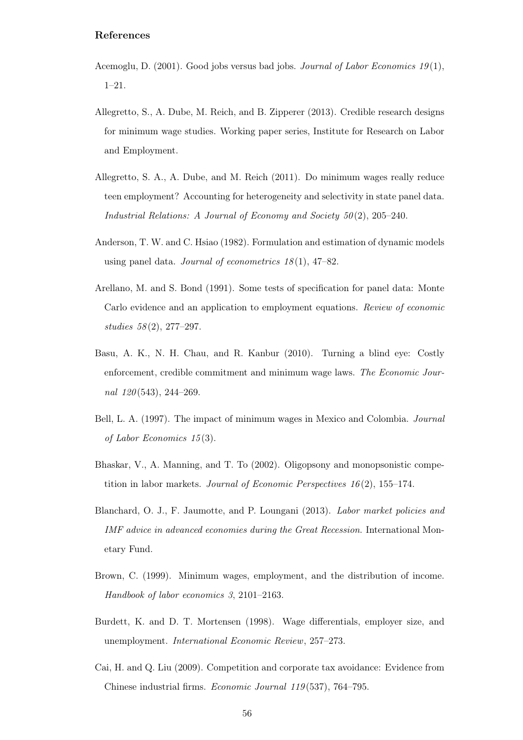# References

- <span id="page-55-5"></span>Acemoglu, D.  $(2001)$ . Good jobs versus bad jobs. Journal of Labor Economics 19(1), 1–21.
- <span id="page-55-2"></span>Allegretto, S., A. Dube, M. Reich, and B. Zipperer (2013). Credible research designs for minimum wage studies. Working paper series, Institute for Research on Labor and Employment.
- <span id="page-55-1"></span>Allegretto, S. A., A. Dube, and M. Reich (2011). Do minimum wages really reduce teen employment? Accounting for heterogeneity and selectivity in state panel data. Industrial Relations: A Journal of Economy and Society  $50(2)$ , 205–240.
- <span id="page-55-10"></span>Anderson, T. W. and C. Hsiao (1982). Formulation and estimation of dynamic models using panel data. Journal of econometrics  $18(1)$ , 47–82.
- <span id="page-55-9"></span>Arellano, M. and S. Bond (1991). Some tests of specification for panel data: Monte Carlo evidence and an application to employment equations. Review of economic studies  $58(2)$ , 277–297.
- <span id="page-55-6"></span>Basu, A. K., N. H. Chau, and R. Kanbur (2010). Turning a blind eye: Costly enforcement, credible commitment and minimum wage laws. The Economic Journal 120(543), 244-269.
- <span id="page-55-7"></span>Bell, L. A. (1997). The impact of minimum wages in Mexico and Colombia. Journal of Labor Economics 15 (3).
- <span id="page-55-3"></span>Bhaskar, V., A. Manning, and T. To (2002). Oligopsony and monopsonistic competition in labor markets. Journal of Economic Perspectives  $16(2)$ , 155–174.
- <span id="page-55-8"></span>Blanchard, O. J., F. Jaumotte, and P. Loungani (2013). Labor market policies and IMF advice in advanced economies during the Great Recession. International Monetary Fund.
- <span id="page-55-0"></span>Brown, C. (1999). Minimum wages, employment, and the distribution of income. Handbook of labor economics 3, 2101–2163.
- <span id="page-55-4"></span>Burdett, K. and D. T. Mortensen (1998). Wage differentials, employer size, and unemployment. International Economic Review, 257–273.
- <span id="page-55-11"></span>Cai, H. and Q. Liu (2009). Competition and corporate tax avoidance: Evidence from Chinese industrial firms. Economic Journal 119 (537), 764–795.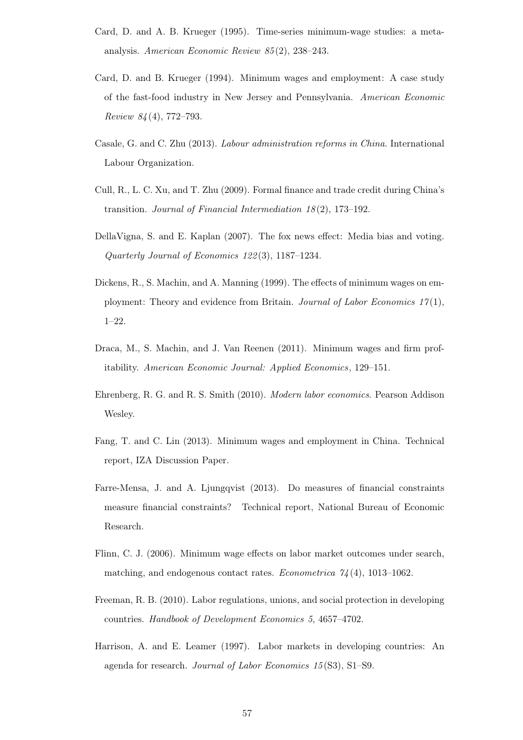- <span id="page-56-0"></span>Card, D. and A. B. Krueger (1995). Time-series minimum-wage studies: a metaanalysis. American Economic Review 85 (2), 238–243.
- <span id="page-56-9"></span>Card, D. and B. Krueger (1994). Minimum wages and employment: A case study of the fast-food industry in New Jersey and Pennsylvania. American Economic Review 84 (4), 772–793.
- <span id="page-56-7"></span>Casale, G. and C. Zhu (2013). Labour administration reforms in China. International Labour Organization.
- <span id="page-56-12"></span>Cull, R., L. C. Xu, and T. Zhu (2009). Formal finance and trade credit during China's transition. Journal of Financial Intermediation 18 (2), 173–192.
- <span id="page-56-10"></span>DellaVigna, S. and E. Kaplan (2007). The fox news effect: Media bias and voting. Quarterly Journal of Economics 122 (3), 1187–1234.
- <span id="page-56-1"></span>Dickens, R., S. Machin, and A. Manning (1999). The effects of minimum wages on employment: Theory and evidence from Britain. Journal of Labor Economics  $17(1)$ , 1–22.
- <span id="page-56-2"></span>Draca, M., S. Machin, and J. Van Reenen (2011). Minimum wages and firm profitability. American Economic Journal: Applied Economics, 129–151.
- <span id="page-56-8"></span>Ehrenberg, R. G. and R. S. Smith (2010). Modern labor economics. Pearson Addison Wesley.
- <span id="page-56-4"></span>Fang, T. and C. Lin (2013). Minimum wages and employment in China. Technical report, IZA Discussion Paper.
- <span id="page-56-11"></span>Farre-Mensa, J. and A. Ljungqvist (2013). Do measures of financial constraints measure financial constraints? Technical report, National Bureau of Economic Research.
- <span id="page-56-5"></span>Flinn, C. J. (2006). Minimum wage effects on labor market outcomes under search, matching, and endogenous contact rates. Econometrica  $74(4)$ , 1013–1062.
- <span id="page-56-3"></span>Freeman, R. B. (2010). Labor regulations, unions, and social protection in developing countries. Handbook of Development Economics 5, 4657–4702.
- <span id="page-56-6"></span>Harrison, A. and E. Leamer (1997). Labor markets in developing countries: An agenda for research. Journal of Labor Economics 15 (S3), S1–S9.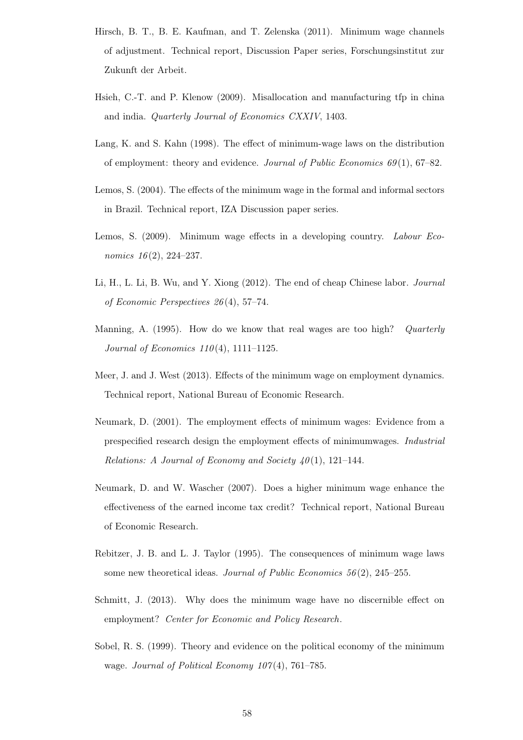- <span id="page-57-3"></span>Hirsch, B. T., B. E. Kaufman, and T. Zelenska (2011). Minimum wage channels of adjustment. Technical report, Discussion Paper series, Forschungsinstitut zur Zukunft der Arbeit.
- <span id="page-57-12"></span>Hsieh, C.-T. and P. Klenow (2009). Misallocation and manufacturing tfp in china and india. Quarterly Journal of Economics CXXIV, 1403.
- <span id="page-57-7"></span>Lang, K. and S. Kahn (1998). The effect of minimum-wage laws on the distribution of employment: theory and evidence. Journal of Public Economics  $69(1)$ ,  $67-82$ .
- <span id="page-57-9"></span>Lemos, S. (2004). The effects of the minimum wage in the formal and informal sectors in Brazil. Technical report, IZA Discussion paper series.
- <span id="page-57-10"></span>Lemos, S. (2009). Minimum wage effects in a developing country. Labour Economics  $16(2)$ , 224–237.
- <span id="page-57-1"></span>Li, H., L. Li, B. Wu, and Y. Xiong (2012). The end of cheap Chinese labor. Journal of Economic Perspectives 26 (4), 57–74.
- <span id="page-57-5"></span>Manning, A. (1995). How do we know that real wages are too high? Quarterly Journal of Economics  $110(4)$ , 1111–1125.
- <span id="page-57-8"></span>Meer, J. and J. West (2013). Effects of the minimum wage on employment dynamics. Technical report, National Bureau of Economic Research.
- <span id="page-57-2"></span>Neumark, D. (2001). The employment effects of minimum wages: Evidence from a prespecified research design the employment effects of minimumwages. Industrial Relations: A Journal of Economy and Society  $40(1)$ , 121–144.
- <span id="page-57-0"></span>Neumark, D. and W. Wascher (2007). Does a higher minimum wage enhance the effectiveness of the earned income tax credit? Technical report, National Bureau of Economic Research.
- <span id="page-57-6"></span>Rebitzer, J. B. and L. J. Taylor (1995). The consequences of minimum wage laws some new theoretical ideas. Journal of Public Economics  $56(2)$ ,  $245-255$ .
- <span id="page-57-4"></span>Schmitt, J. (2013). Why does the minimum wage have no discernible effect on employment? Center for Economic and Policy Research.
- <span id="page-57-11"></span>Sobel, R. S. (1999). Theory and evidence on the political economy of the minimum wage. Journal of Political Economy  $107(4)$ , 761–785.